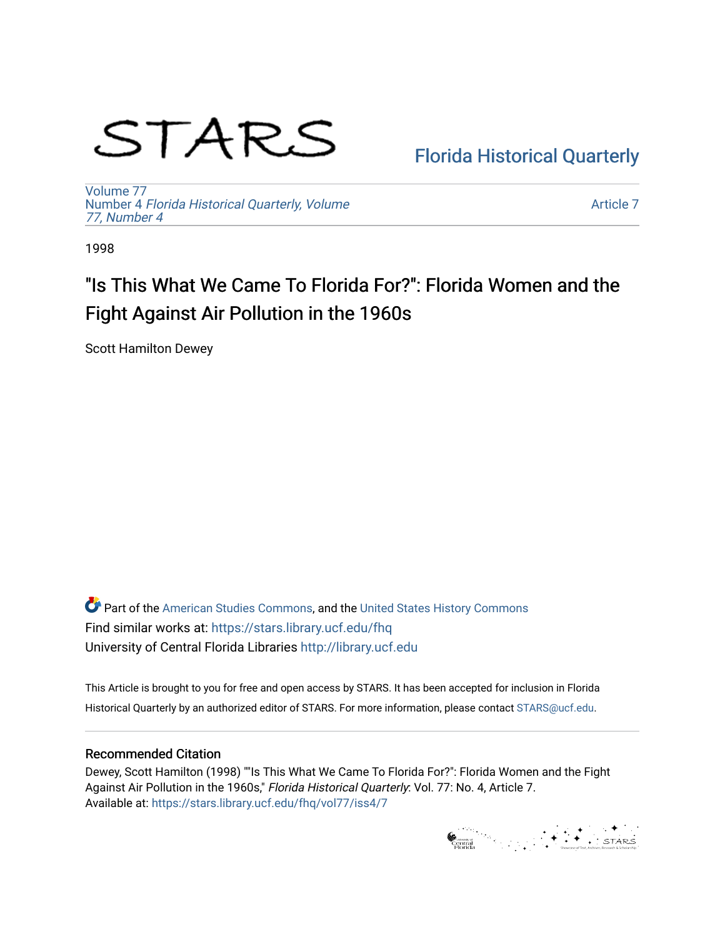# STARS

### [Florida Historical Quarterly](https://stars.library.ucf.edu/fhq)

[Volume 77](https://stars.library.ucf.edu/fhq/vol77) Number 4 [Florida Historical Quarterly, Volume](https://stars.library.ucf.edu/fhq/vol77/iss4)  [77, Number 4](https://stars.library.ucf.edu/fhq/vol77/iss4)

[Article 7](https://stars.library.ucf.edu/fhq/vol77/iss4/7) 

1998

## "Is This What We Came To Florida For?": Florida Women and the Fight Against Air Pollution in the 1960s

Scott Hamilton Dewey

**C** Part of the [American Studies Commons](http://network.bepress.com/hgg/discipline/439?utm_source=stars.library.ucf.edu%2Ffhq%2Fvol77%2Fiss4%2F7&utm_medium=PDF&utm_campaign=PDFCoverPages), and the United States History Commons Find similar works at: <https://stars.library.ucf.edu/fhq> University of Central Florida Libraries [http://library.ucf.edu](http://library.ucf.edu/) 

This Article is brought to you for free and open access by STARS. It has been accepted for inclusion in Florida Historical Quarterly by an authorized editor of STARS. For more information, please contact [STARS@ucf.edu.](mailto:STARS@ucf.edu)

#### Recommended Citation

Dewey, Scott Hamilton (1998) ""Is This What We Came To Florida For?": Florida Women and the Fight Against Air Pollution in the 1960s," Florida Historical Quarterly: Vol. 77: No. 4, Article 7. Available at: [https://stars.library.ucf.edu/fhq/vol77/iss4/7](https://stars.library.ucf.edu/fhq/vol77/iss4/7?utm_source=stars.library.ucf.edu%2Ffhq%2Fvol77%2Fiss4%2F7&utm_medium=PDF&utm_campaign=PDFCoverPages) 

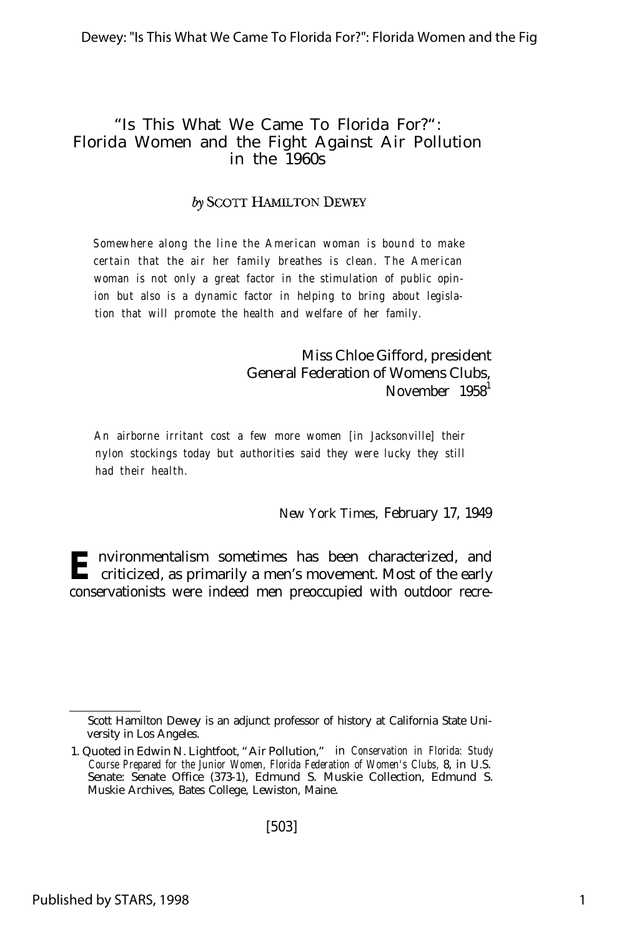Dewey: "Is This What We Came To Florida For?": Florida Women and the Fig

#### "Is This What We Came To Florida For?": Florida Women and the Fight Against Air Pollution in the 1960s

#### by SCOTT HAMILTON DEWEY

*Somewhere along the line the American woman is bound to make certain that the air her family breathes is clean. The American woman is not only a great factor in the stimulation of public opinion but also is a dynamic factor in helping to bring about legislation that will promote the health and welfare of her family.*

> Miss Chloe Gifford, president General Federation of Womens Clubs, November 1958<sup>1</sup>

*An airborne irritant cost a few more women [in Jacksonville] their nylon stockings today but authorities said they were lucky they still had their health.*

*New York Times,* February 17, 1949

 $\bf{E}$  nvironmentalism sometimes has been characterized, and criticized, as primarily a men's movement. Most of the early criticized, as primarily a men's movement. Most of the early conservationists were indeed men preoccupied with outdoor recre-

Scott Hamilton Dewey is an adjunct professor of history at California State University in Los Angeles.

<sup>1.</sup> Quoted in Edwin N. Lightfoot, "Air Pollution," in *Conservation in Florida: Study Course Prepared for the Junior Women, Florida Federation of Women's Clubs,* 8, in U.S. Senate: Senate Office (373-1), Edmund S. Muskie Collection, Edmund S. Muskie Archives, Bates College, Lewiston, Maine.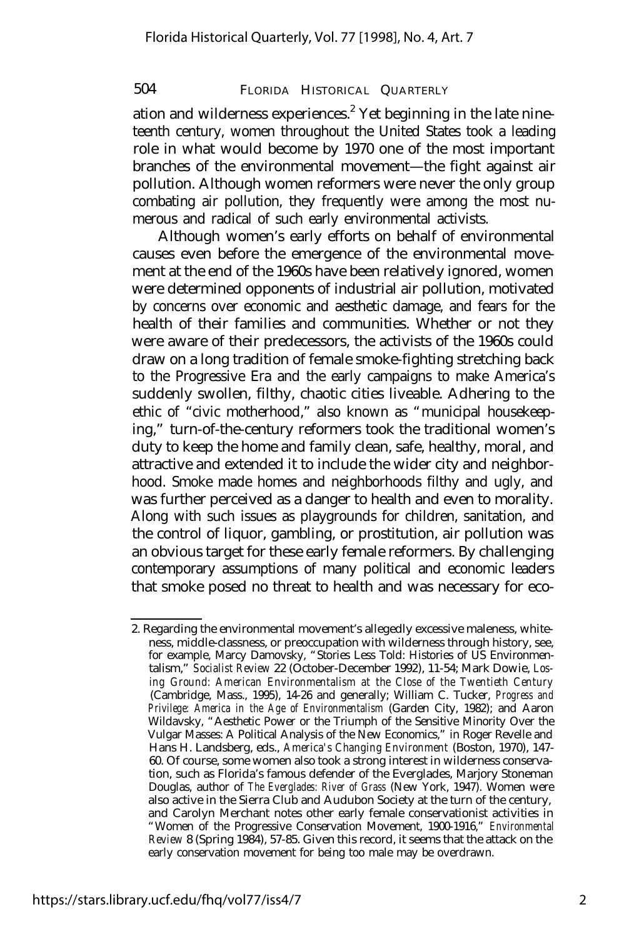ation and wilderness experiences.<sup>2</sup> Yet beginning in the late nineteenth century, women throughout the United States took a leading role in what would become by 1970 one of the most important branches of the environmental movement— the fight against air pollution. Although women reformers were never the only group combating air pollution, they frequently were among the most numerous and radical of such early environmental activists.

Although women's early efforts on behalf of environmental causes even before the emergence of the environmental movement at the end of the 1960s have been relatively ignored, women were determined opponents of industrial air pollution, motivated by concerns over economic and aesthetic damage, and fears for the health of their families and communities. Whether or not they were aware of their predecessors, the activists of the 1960s could draw on a long tradition of female smoke-fighting stretching back to the Progressive Era and the early campaigns to make America's suddenly swollen, filthy, chaotic cities liveable. Adhering to the ethic of "civic motherhood," also known as "municipal housekeeping," turn-of-the-century reformers took the traditional women's duty to keep the home and family clean, safe, healthy, moral, and attractive and extended it to include the wider city and neighborhood. Smoke made homes and neighborhoods filthy and ugly, and was further perceived as a danger to health and even to morality. Along with such issues as playgrounds for children, sanitation, and the control of liquor, gambling, or prostitution, air pollution was an obvious target for these early female reformers. By challenging contemporary assumptions of many political and economic leaders that smoke posed no threat to health and was necessary for eco-

<sup>2.</sup> Regarding the environmental movement's allegedly excessive maleness, whiteness, middle-classness, or preoccupation with wilderness through history, see, for example, Marcy Damovsky, "Stories Less Told: Histories of US Environmentalism," *Socialist Review* 22 (October-December 1992), 11-54; Mark Dowie, *Losing Ground: American Environmentalism at the Close of the Twentieth Century* (Cambridge, Mass., 1995), 14-26 and generally; William C. Tucker, *Progress and Privilege: America in the Age of Environmentalism* (Garden City, 1982); and Aaron Wildavsky, "Aesthetic Power or the Triumph of the Sensitive Minority Over the Vulgar Masses: A Political Analysis of the New Economics," in Roger Revelle and Hans H. Landsberg, eds., *America's Changing Environment* (Boston, 1970), 147- 60. Of course, some women also took a strong interest in wilderness conservation, such as Florida's famous defender of the Everglades, Marjory Stoneman Douglas, author of *The Everglades: River of Grass* (New York, 1947). Women were also active in the Sierra Club and Audubon Society at the turn of the century, and Carolyn Merchant notes other early female conservationist activities in "Women of the Progressive Conservation Movement, 1900-1916," *Environmental Review* 8 (Spring 1984), 57-85. Given this record, it seems that the attack on the early conservation movement for being too male may be overdrawn.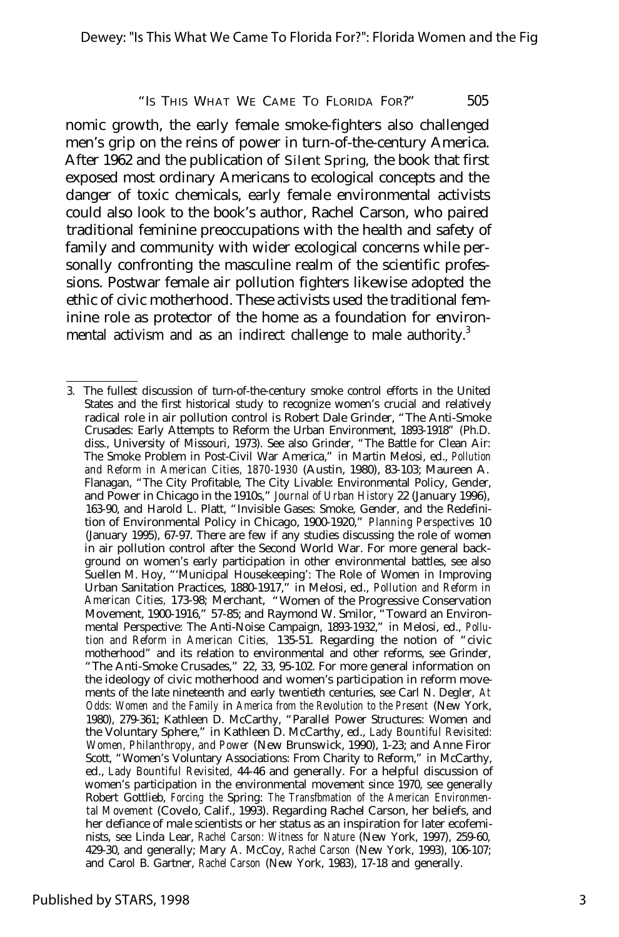nomic growth, the early female smoke-fighters also challenged men's grip on the reins of power in turn-of-the-century America. After 1962 and the publication of *Silent Spring,* the book that first exposed most ordinary Americans to ecological concepts and the danger of toxic chemicals, early female environmental activists could also look to the book's author, Rachel Carson, who paired traditional feminine preoccupations with the health and safety of family and community with wider ecological concerns while personally confronting the masculine realm of the scientific professions. Postwar female air pollution fighters likewise adopted the ethic of civic motherhood. These activists used the traditional feminine role as protector of the home as a foundation for environmental activism and as an indirect challenge to male authority.<sup>3</sup>

<sup>3.</sup> The fullest discussion of turn-of-the-century smoke control efforts in the United States and the first historical study to recognize women's crucial and relatively radical role in air pollution control is Robert Dale Grinder, "The Anti-Smoke Crusades: Early Attempts to Reform the Urban Environment, 1893-1918" (Ph.D. diss., University of Missouri, 1973). See also Grinder, "The Battle for Clean Air: The Smoke Problem in Post-Civil War America," in Martin Melosi, ed., *Pollution and Reform in American Cities, 1870-1930* (Austin, 1980), 83-103; Maureen A. Flanagan, "The City Profitable, The City Livable: Environmental Policy, Gender, and Power in Chicago in the 1910s," *Journal of Urban History* 22 (January 1996), 163-90, and Harold L. Platt, "Invisible Gases: Smoke, Gender, and the Redefinition of Environmental Policy in Chicago, 1900-1920," *Planning Perspectives* 10 (January 1995), 67-97. There are few if any studies discussing the role of women in air pollution control after the Second World War. For more general background on women's early participation in other environmental battles, see also Suellen M. Hoy, "'Municipal Housekeeping': The Role of Women in Improving Urban Sanitation Practices, 1880-1917," in Melosi, ed., *Pollution and Reform in American Cities,* 173-98; Merchant, "Women of the Progressive Conservation Movement, 1900-1916," 57-85; and Raymond W. Smilor, "Toward an Environmental Perspective: The Anti-Noise Campaign, 1893-1932," in Melosi, ed., *Pollution and Reform in American Cities,* 135-51. Regarding the notion of "civic motherhood" and its relation to environmental and other reforms, see Grinder, "The Anti-Smoke Crusades," 22, 33, 95-102. For more general information on the ideology of civic motherhood and women's participation in reform movements of the late nineteenth and early twentieth centuries, see Carl N. Degler, *At Odds: Women and the Family* in *America from the Revolution to the Present* (New York, 1980), 279-361; Kathleen D. McCarthy, "Parallel Power Structures: Women and the Voluntary Sphere," in Kathleen D. McCarthy, ed., *Lady Bountiful Revisited: Women, Philanthropy, and Power* (New Brunswick, 1990), 1-23; and Anne Firor Scott, "Women's Voluntary Associations: From Charity to Reform," in McCarthy, ed., *Lady Bountiful Revisited,* 44-46 and generally. For a helpful discussion of women's participation in the environmental movement since 1970, see generally Robert Gottlieb, *Forcing the* Spring: *The Transfbmation of the American Environmental Movement* (Covelo, Calif., 1993). Regarding Rachel Carson, her beliefs, and her defiance of male scientists or her status as an inspiration for later ecofeminists, see Linda Lear, *Rachel Carson: Witness for Nature* (New York, 1997), 259-60, 429-30, and generally; Mary A. McCoy, *Rachel Carson* (New York, 1993), 106-107; and Carol B. Gartner, *Rachel Carson* (New York, 1983), 17-18 and generally.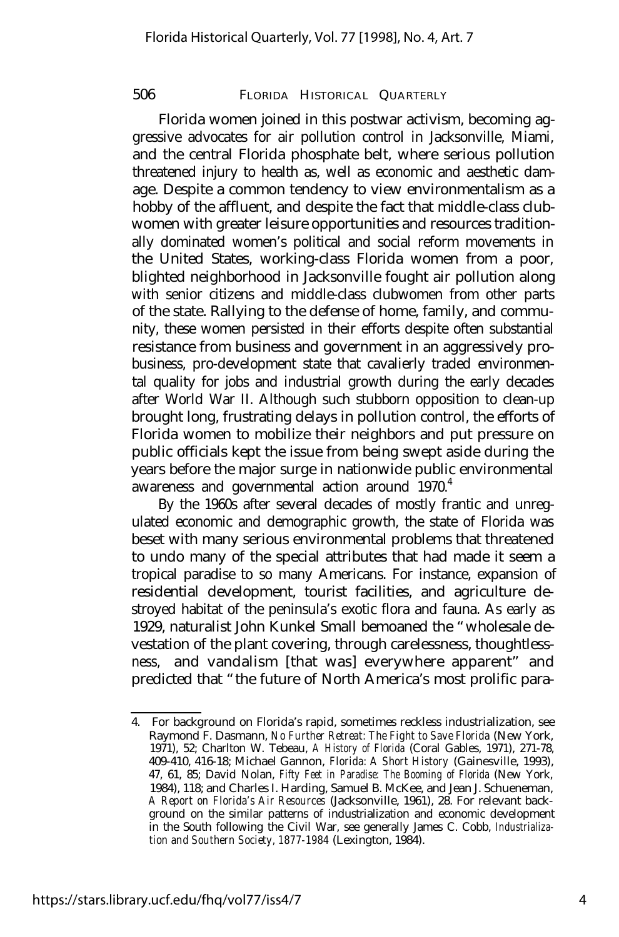Florida women joined in this postwar activism, becoming aggressive advocates for air pollution control in Jacksonville, Miami, and the central Florida phosphate belt, where serious pollution threatened injury to health as, well as economic and aesthetic damage. Despite a common tendency to view environmentalism as a hobby of the affluent, and despite the fact that middle-class clubwomen with greater leisure opportunities and resources traditionally dominated women's political and social reform movements in the United States, working-class Florida women from a poor, blighted neighborhood in Jacksonville fought air pollution along with senior citizens and middle-class clubwomen from other parts of the state. Rallying to the defense of home, family, and community, these women persisted in their efforts despite often substantial resistance from business and government in an aggressively probusiness, pro-development state that cavalierly traded environmental quality for jobs and industrial growth during the early decades after World War II. Although such stubborn opposition to clean-up brought long, frustrating delays in pollution control, the efforts of Florida women to mobilize their neighbors and put pressure on public officials kept the issue from being swept aside during the years before the major surge in nationwide public environmental awareness and governmental action around 1970.<sup>4</sup>

By the 1960s after several decades of mostly frantic and unregulated economic and demographic growth, the state of Florida was beset with many serious environmental problems that threatened to undo many of the special attributes that had made it seem a tropical paradise to so many Americans. For instance, expansion of residential development, tourist facilities, and agriculture destroyed habitat of the peninsula's exotic flora and fauna. As early as 1929, naturalist John Kunkel Small bemoaned the "wholesale devestation of the plant covering, through carelessness, thoughtlessness, and vandalism [that was] everywhere apparent" and predicted that "the future of North America's most prolific para-

<sup>4.</sup> For background on Florida's rapid, sometimes reckless industrialization, see Raymond F. Dasmann, *No Further Retreat: The Fight to Save Florida* (New York, 1971), 52; Charlton W. Tebeau, *A History of Florida* (Coral Gables, 1971), 271-78, 409-410, 416-18; Michael Gannon, *Florida: A Short History* (Gainesville, 1993), 47, 61, 85; David Nolan, *Fifty Feet in Paradise: The Booming of Florida* (New York, 1984), 118; and Charles I. Harding, Samuel B. McKee, and Jean J. Schueneman, *A Report on Florida's Air Resources* (Jacksonville, 1961), 28. For relevant background on the similar patterns of industrialization and economic development in the South following the Civil War, see generally James C. Cobb, *Industrialization and Southern Society, 1877-1984* (Lexington, 1984).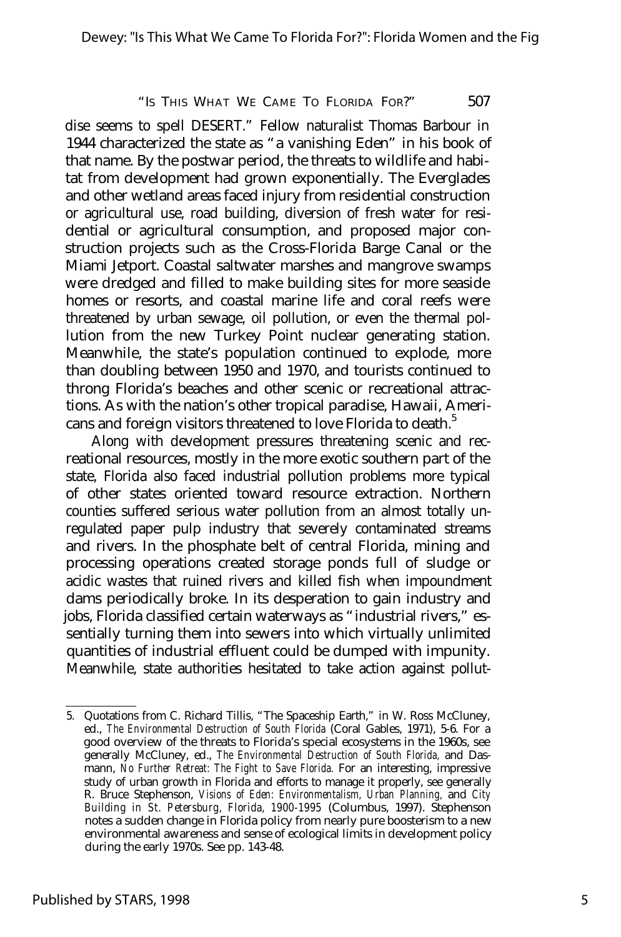dise seems to spell DESERT." Fellow naturalist Thomas Barbour in 1944 characterized the state as "a vanishing Eden" in his book of that name. By the postwar period, the threats to wildlife and habitat from development had grown exponentially. The Everglades and other wetland areas faced injury from residential construction or agricultural use, road building, diversion of fresh water for residential or agricultural consumption, and proposed major construction projects such as the Cross-Florida Barge Canal or the Miami Jetport. Coastal saltwater marshes and mangrove swamps were dredged and filled to make building sites for more seaside homes or resorts, and coastal marine life and coral reefs were threatened by urban sewage, oil pollution, or even the thermal pollution from the new Turkey Point nuclear generating station. Meanwhile, the state's population continued to explode, more than doubling between 1950 and 1970, and tourists continued to throng Florida's beaches and other scenic or recreational attractions. As with the nation's other tropical paradise, Hawaii, Americans and foreign visitors threatened to love Florida to death.<sup>5</sup>

Along with development pressures threatening scenic and recreational resources, mostly in the more exotic southern part of the state, Florida also faced industrial pollution problems more typical of other states oriented toward resource extraction. Northern counties suffered serious water pollution from an almost totally unregulated paper pulp industry that severely contaminated streams and rivers. In the phosphate belt of central Florida, mining and processing operations created storage ponds full of sludge or acidic wastes that ruined rivers and killed fish when impoundment dams periodically broke. In its desperation to gain industry and jobs, Florida classified certain waterways as "industrial rivers," essentially turning them into sewers into which virtually unlimited quantities of industrial effluent could be dumped with impunity. Meanwhile, state authorities hesitated to take action against pollut-

<sup>5.</sup> Quotations from C. Richard Tillis, "The Spaceship Earth," in W. Ross McCluney, ed., *The Environmental Destruction of South Florida* (Coral Gables, 1971), 5-6. For a good overview of the threats to Florida's special ecosystems in the 1960s, see generally McCluney, ed., *The Environmental Destruction of South Florida,* and Dasmann, *No Further Retreat: The Fight to Save Florida.* For an interesting, impressive study of urban growth in Florida and efforts to manage it properly, see generally R. Bruce Stephenson, *Visions of Eden: Environmentalism, Urban Planning,* and *City Building in St. Petersburg, Florida, 1900-1995* (Columbus, 1997). Stephenson notes a sudden change in Florida policy from nearly pure boosterism to a new environmental awareness and sense of ecological limits in development policy during the early 1970s. See pp. 143-48.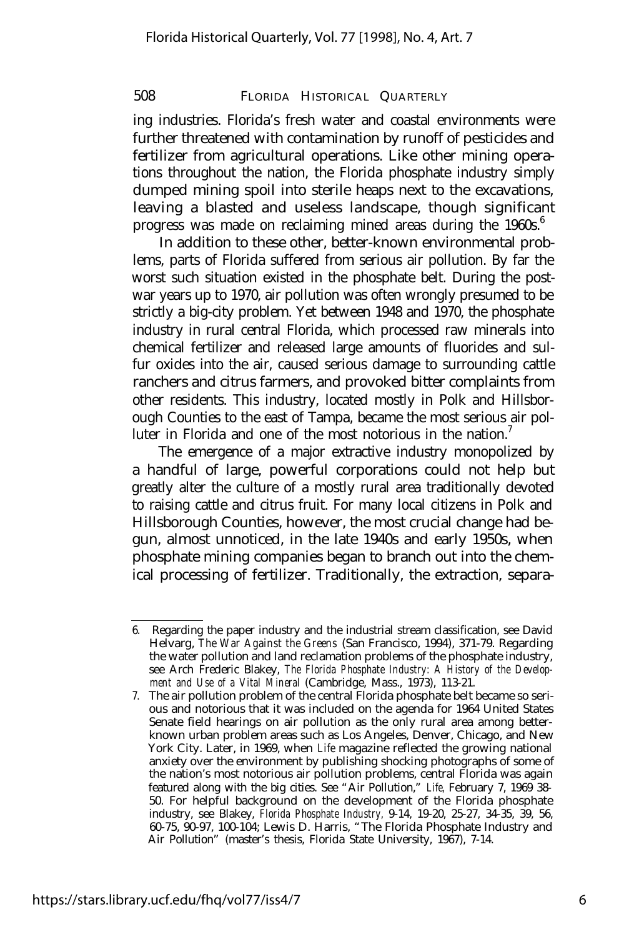ing industries. Florida's fresh water and coastal environments were further threatened with contamination by runoff of pesticides and fertilizer from agricultural operations. Like other mining operations throughout the nation, the Florida phosphate industry simply dumped mining spoil into sterile heaps next to the excavations, leaving a blasted and useless landscape, though significant progress was made on reclaiming mined areas during the 1960s. $^6$ 

In addition to these other, better-known environmental problems, parts of Florida suffered from serious air pollution. By far the worst such situation existed in the phosphate belt. During the postwar years up to 1970, air pollution was often wrongly presumed to be strictly a big-city problem. Yet between 1948 and 1970, the phosphate industry in rural central Florida, which processed raw minerals into chemical fertilizer and released large amounts of fluorides and sulfur oxides into the air, caused serious damage to surrounding cattle ranchers and citrus farmers, and provoked bitter complaints from other residents. This industry, located mostly in Polk and Hillsborough Counties to the east of Tampa, became the most serious air polluter in Florida and one of the most notorious in the nation.<sup>7</sup>

The emergence of a major extractive industry monopolized by a handful of large, powerful corporations could not help but greatly alter the culture of a mostly rural area traditionally devoted to raising cattle and citrus fruit. For many local citizens in Polk and Hillsborough Counties, however, the most crucial change had begun, almost unnoticed, in the late 1940s and early 1950s, when phosphate mining companies began to branch out into the chemical processing of fertilizer. Traditionally, the extraction, separa-

<sup>6.</sup> Regarding the paper industry and the industrial stream classification, see David Helvarg, *The War Against the Greens* (San Francisco, 1994), 371-79. Regarding the water pollution and land reclamation problems of the phosphate industry, see Arch Frederic Blakey, *The Florida Phosphate Industry: A History of the Development and Use of a Vital Mineral* (Cambridge, Mass., 1973), 113-21.

<sup>7.</sup> The air pollution problem of the central Florida phosphate belt became so serious and notorious that it was included on the agenda for 1964 United States Senate field hearings on air pollution as the only rural area among betterknown urban problem areas such as Los Angeles, Denver, Chicago, and New York City. Later, in 1969, when *Life* magazine reflected the growing national anxiety over the environment by publishing shocking photographs of some of the nation's most notorious air pollution problems, central Florida was again featured along with the big cities. See "Air Pollution," *Life,* February 7, 1969 38- 50. For helpful background on the development of the Florida phosphate industry, see Blakey, *Florida Phosphate Industry,* 9-14, 19-20, 25-27, 34-35, 39, 56, 60-75, 90-97, 100-104; Lewis D. Harris, "The Florida Phosphate Industry and Air Pollution" (master's thesis, Florida State University, 1967), 7-14.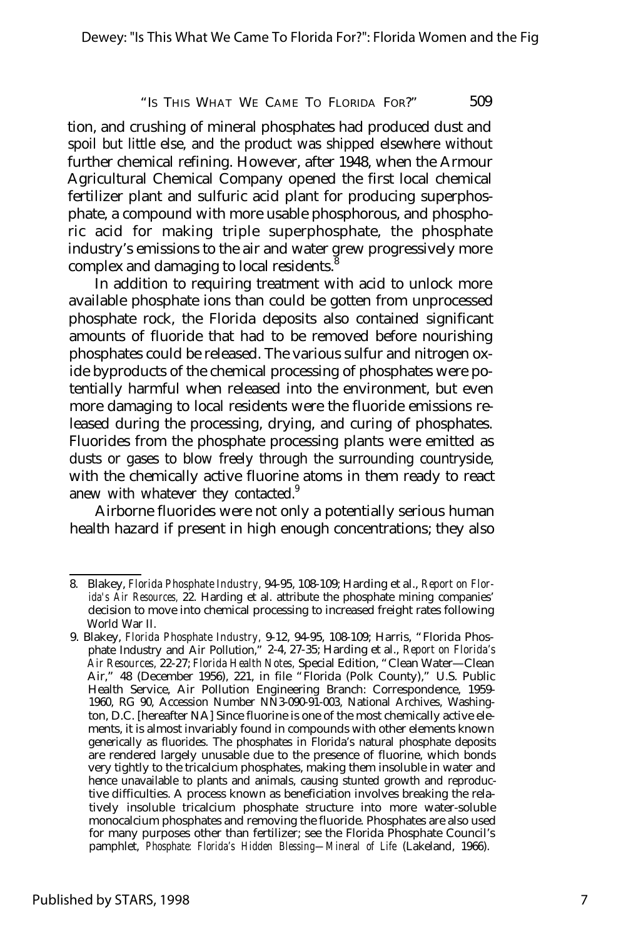tion, and crushing of mineral phosphates had produced dust and spoil but little else, and the product was shipped elsewhere without further chemical refining. However, after 1948, when the Armour Agricultural Chemical Company opened the first local chemical fertilizer plant and sulfuric acid plant for producing superphosphate, a compound with more usable phosphorous, and phosphoric acid for making triple superphosphate, the phosphate industry's emissions to the air and water grew progressively more complex and damaging to local residents.

In addition to requiring treatment with acid to unlock more available phosphate ions than could be gotten from unprocessed phosphate rock, the Florida deposits also contained significant amounts of fluoride that had to be removed before nourishing phosphates could be released. The various sulfur and nitrogen oxide byproducts of the chemical processing of phosphates were potentially harmful when released into the environment, but even more damaging to local residents were the fluoride emissions released during the processing, drying, and curing of phosphates. Fluorides from the phosphate processing plants were emitted as dusts or gases to blow freely through the surrounding countryside, with the chemically active fluorine atoms in them ready to react anew with whatever they contacted.<sup>9</sup>

Airborne fluorides were not only a potentially serious human health hazard if present in high enough concentrations; they also

<sup>8.</sup> Blakey, *Florida Phosphate Industry,* 94-95, 108-109; Harding et al., *Report on Florida's Air Resources,* 22. Harding et al. attribute the phosphate mining companies' decision to move into chemical processing to increased freight rates following World War II.

<sup>9.</sup> Blakey, *Florida Phosphate Industry,* 9-12, 94-95, 108-109; Harris, "Florida Phosphate Industry and Air Pollution," 2-4, 27-35; Harding et al., *Report on Florida's Air Resources,* 22-27; *Florida Health Notes,* Special Edition, "Clean Water— Clean Air," 48 (December 1956), 221, in file "Florida (Polk County)," U.S. Public Health Service, Air Pollution Engineering Branch: Correspondence, 1959- 1960, RG 90, Accession Number NN3-090-91-003, National Archives, Washington, D.C. [hereafter NA] Since fluorine is one of the most chemically active elements, it is almost invariably found in compounds with other elements known generically as fluorides. The phosphates in Florida's natural phosphate deposits are rendered largely unusable due to the presence of fluorine, which bonds very tightly to the tricalcium phosphates, making them insoluble in water and hence unavailable to plants and animals, causing stunted growth and reproductive difficulties. A process known as beneficiation involves breaking the relatively insoluble tricalcium phosphate structure into more water-soluble monocalcium phosphates and removing the fluoride. Phosphates are also used for many purposes other than fertilizer; see the Florida Phosphate Council's pamphlet, *Phosphate: Florida's Hidden Blessing— Mineral of Life* (Lakeland, 1966).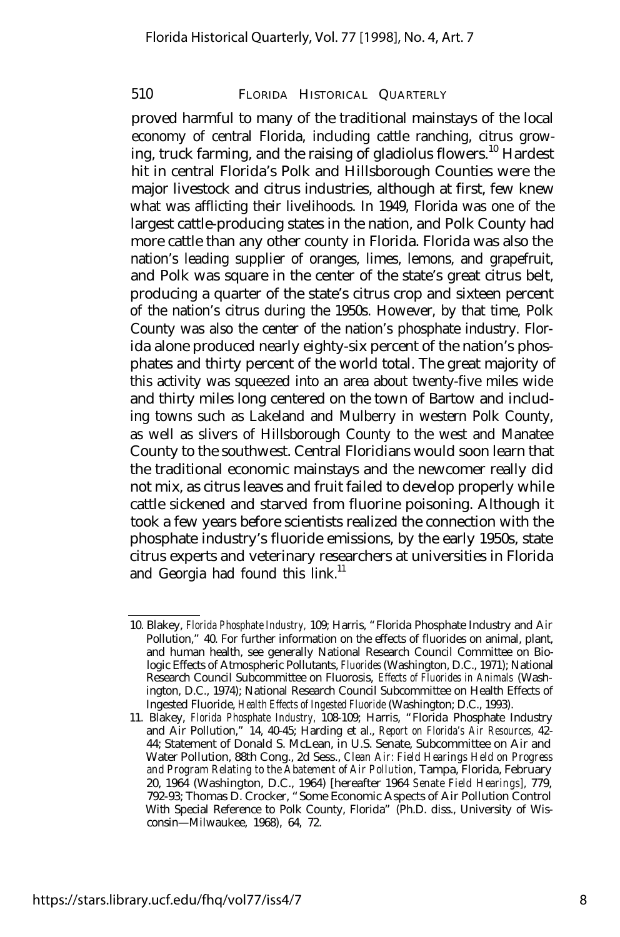proved harmful to many of the traditional mainstays of the local economy of central Florida, including cattle ranching, citrus growing, truck farming, and the raising of gladiolus flowers.<sup>10</sup> Hardest hit in central Florida's Polk and Hillsborough Counties were the major livestock and citrus industries, although at first, few knew what was afflicting their livelihoods. In 1949, Florida was one of the largest cattle-producing states in the nation, and Polk County had more cattle than any other county in Florida. Florida was also the nation's leading supplier of oranges, limes, lemons, and grapefruit, and Polk was square in the center of the state's great citrus belt, producing a quarter of the state's citrus crop and sixteen percent of the nation's citrus during the 1950s. However, by that time, Polk County was also the center of the nation's phosphate industry. Florida alone produced nearly eighty-six percent of the nation's phosphates and thirty percent of the world total. The great majority of this activity was squeezed into an area about twenty-five miles wide and thirty miles long centered on the town of Bartow and including towns such as Lakeland and Mulberry in western Polk County, as well as slivers of Hillsborough County to the west and Manatee County to the southwest. Central Floridians would soon learn that the traditional economic mainstays and the newcomer really did not mix, as citrus leaves and fruit failed to develop properly while cattle sickened and starved from fluorine poisoning. Although it took a few years before scientists realized the connection with the phosphate industry's fluoride emissions, by the early 1950s, state citrus experts and veterinary researchers at universities in Florida and Georgia had found this  $link<sup>11</sup>$ .

<sup>10.</sup> Blakey, *Florida Phosphate Industry,* 109; Harris, "Florida Phosphate Industry and Air Pollution," 40. For further information on the effects of fluorides on animal, plant, and human health, see generally National Research Council Committee on Biologic Effects of Atmospheric Pollutants, *Fluorides* (Washington, D.C., 1971); National Research Council Subcommittee on Fluorosis, *Effects of Fluorides in Animals* (Washington, D.C., 1974); National Research Council Subcommittee on Health Effects of Ingested Fluoride, *Health Effects of Ingested Fluoride* (Washington; D.C., 1993).

<sup>11.</sup> Blakey, *Florida Phosphate Industry,* 108-109; Harris, "Florida Phosphate Industry and Air Pollution," 14, 40-45; Harding et al., *Report on Florida's Air Resources,* 42- 44; Statement of Donald S. McLean, in U.S. Senate, Subcommittee on Air and Water Pollution, 88th Cong., 2d Sess., *Clean Air: Field Hearings Held on Progress* and Program Relating to the Abatement of Air Pollution, Tampa, Florida, February 20, 1964 (Washington, D.C., 1964) [hereafter 1964 *Senate Field Hearings],* 779, 792-93; Thomas D. Crocker, "Some Economic Aspects of Air Pollution Control With Special Reference to Polk County, Florida" (Ph.D. diss., University of Wisconsin— Milwaukee, 1968), 64, 72.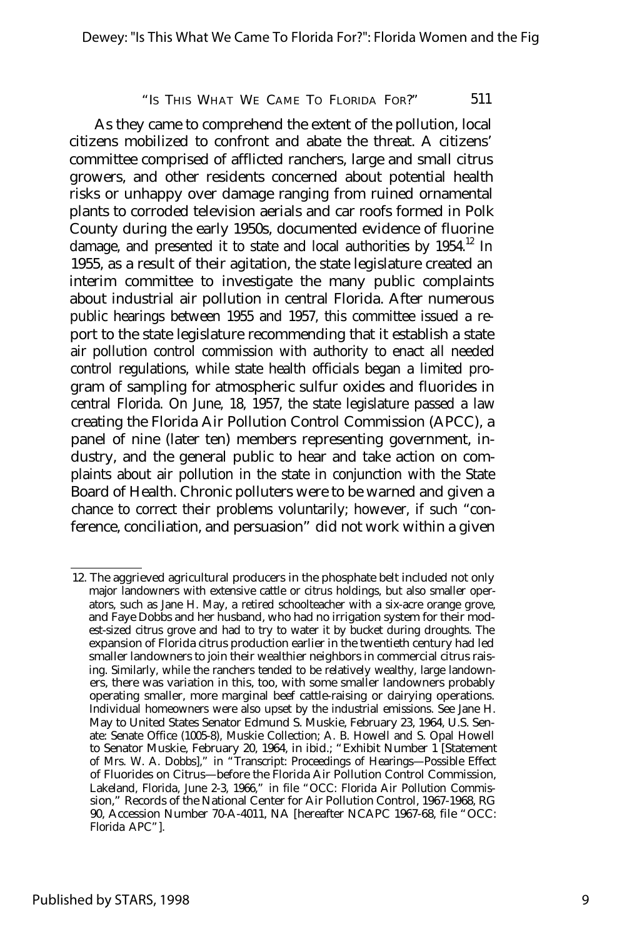As they came to comprehend the extent of the pollution, local citizens mobilized to confront and abate the threat. A citizens' committee comprised of afflicted ranchers, large and small citrus growers, and other residents concerned about potential health risks or unhappy over damage ranging from ruined ornamental plants to corroded television aerials and car roofs formed in Polk County during the early 1950s, documented evidence of fluorine damage, and presented it to state and local authorities by  $1954$ <sup>12</sup> In 1955, as a result of their agitation, the state legislature created an interim committee to investigate the many public complaints about industrial air pollution in central Florida. After numerous public hearings between 1955 and 1957, this committee issued a report to the state legislature recommending that it establish a state air pollution control commission with authority to enact all needed control regulations, while state health officials began a limited program of sampling for atmospheric sulfur oxides and fluorides in central Florida. On June, 18, 1957, the state legislature passed a law creating the Florida Air Pollution Control Commission (APCC), a panel of nine (later ten) members representing government, industry, and the general public to hear and take action on complaints about air pollution in the state in conjunction with the State Board of Health. Chronic polluters were to be warned and given a chance to correct their problems voluntarily; however, if such "conference, conciliation, and persuasion" did not work within a given

<sup>12.</sup> The aggrieved agricultural producers in the phosphate belt included not only major landowners with extensive cattle or citrus holdings, but also smaller operators, such as Jane H. May, a retired schoolteacher with a six-acre orange grove, and Faye Dobbs and her husband, who had no irrigation system for their modest-sized citrus grove and had to try to water it by bucket during droughts. The expansion of Florida citrus production earlier in the twentieth century had led smaller landowners to join their wealthier neighbors in commercial citrus raising. Similarly, while the ranchers tended to be relatively wealthy, large landowners, there was variation in this, too, with some smaller landowners probably operating smaller, more marginal beef cattle-raising or dairying operations. Individual homeowners were also upset by the industrial emissions. See Jane H. May to United States Senator Edmund S. Muskie, February 23, 1964, U.S. Senate: Senate Office (1005-8), Muskie Collection; A. B. Howell and S. Opal Howell to Senator Muskie, February 20, 1964, in ibid.; "Exhibit Number 1 [Statement of Mrs. W. A. Dobbs]," in "Transcript: Proceedings of Hearings— Possible Effect of Fluorides on Citrus— before the Florida Air Pollution Control Commission, Lakeland, Florida, June 2-3, 1966," in file "OCC: Florida Air Pollution Commission," Records of the National Center for Air Pollution Control, 1967-1968, RG 90, Accession Number 70-A-4011, NA [hereafter NCAPC 1967-68, file "OCC: Florida APC"].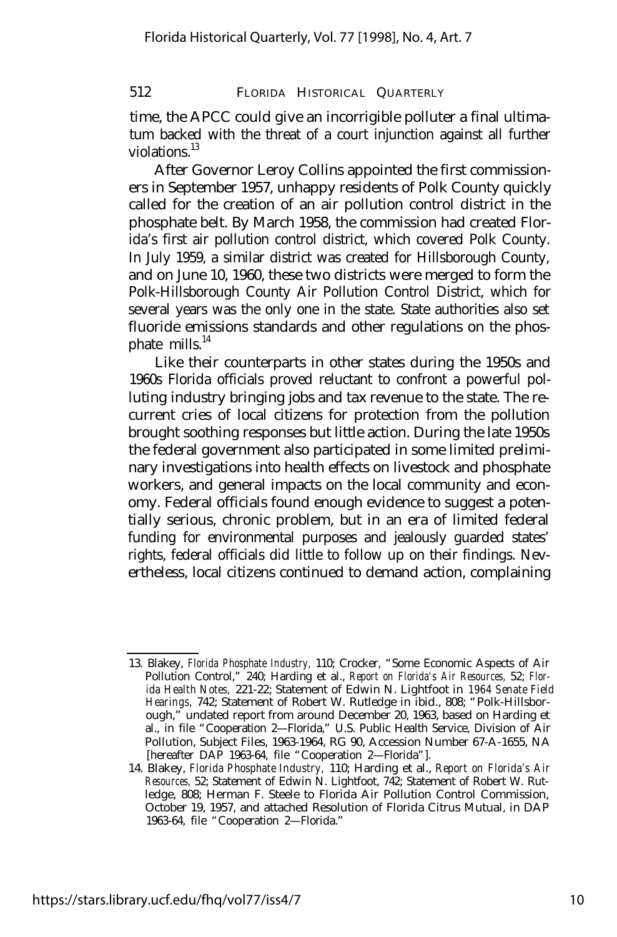time, the APCC could give an incorrigible polluter a final ultimatum backed with the threat of a court injunction against all further violations.<sup>13</sup>

After Governor Leroy Collins appointed the first commissioners in September 1957, unhappy residents of Polk County quickly called for the creation of an air pollution control district in the phosphate belt. By March 1958, the commission had created Florida's first air pollution control district, which covered Polk County. In July 1959, a similar district was created for Hillsborough County, and on June 10, 1960, these two districts were merged to form the Polk-Hillsborough County Air Pollution Control District, which for several years was the only one in the state. State authorities also set fluoride emissions standards and other regulations on the phosphate mills.<sup>14</sup>

Like their counterparts in other states during the 1950s and 1960s Florida officials proved reluctant to confront a powerful polluting industry bringing jobs and tax revenue to the state. The recurrent cries of local citizens for protection from the pollution brought soothing responses but little action. During the late 1950s the federal government also participated in some limited preliminary investigations into health effects on livestock and phosphate workers, and general impacts on the local community and economy. Federal officials found enough evidence to suggest a potentially serious, chronic problem, but in an era of limited federal funding for environmental purposes and jealously guarded states' rights, federal officials did little to follow up on their findings. Nevertheless, local citizens continued to demand action, complaining

<sup>13.</sup> Blakey, *Florida Phosphate Industry,* 110; Crocker, "Some Economic Aspects of Air Pollution Control," 240; Harding et al., *Report on Florida's Air Resources,* 52; *Florida Health Notes,* 221-22; Statement of Edwin N. Lightfoot in *1964 Senate Field Hearings,* 742; Statement of Robert W. Rutledge in ibid., 808; "Polk-Hillsborough," undated report from around December 20, 1963, based on Harding et al., in file "Cooperation 2— Florida," U.S. Public Health Service, Division of Air Pollution, Subject Files, 1963-1964, RG 90, Accession Number 67-A-1655, NA [hereafter DAP 1963-64, file "Cooperation 2— Florida"].

<sup>14.</sup> Blakey, *Florida Phosphate Industry,* 110; Harding et al., *Report on Florida's Air Resources,* 52; Statement of Edwin N. Lightfoot, 742; Statement of Robert W. Rutledge, 808; Herman F. Steele to Florida Air Pollution Control Commission, October 19, 1957, and attached Resolution of Florida Citrus Mutual, in DAP 1963-64, file "Cooperation 2— Florida."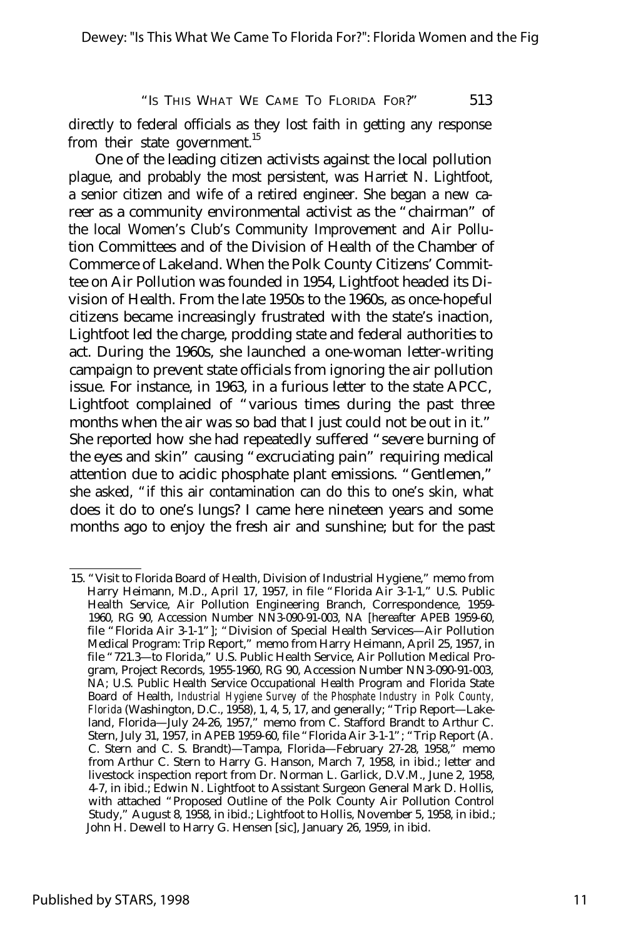directly to federal officials as they lost faith in getting any response from their state government.<sup>15</sup>

One of the leading citizen activists against the local pollution plague, and probably the most persistent, was Harriet N. Lightfoot, a senior citizen and wife of a retired engineer. She began a new career as a community environmental activist as the "chairman" of the local Women's Club's Community Improvement and Air Pollution Committees and of the Division of Health of the Chamber of Commerce of Lakeland. When the Polk County Citizens' Committee on Air Pollution was founded in 1954, Lightfoot headed its Division of Health. From the late 1950s to the 1960s, as once-hopeful citizens became increasingly frustrated with the state's inaction, Lightfoot led the charge, prodding state and federal authorities to act. During the 1960s, she launched a one-woman letter-writing campaign to prevent state officials from ignoring the air pollution issue. For instance, in 1963, in a furious letter to the state APCC, Lightfoot complained of "various times during the past three months when the air was so bad that I just could not be out in it." She reported how she had repeatedly suffered "severe burning of the eyes and skin" causing "excruciating pain" requiring medical attention due to acidic phosphate plant emissions. "Gentlemen," she asked, "if this air contamination can do this to one's skin, what does it do to one's lungs? I came here nineteen years and some months ago to enjoy the fresh air and sunshine; but for the past

<sup>15. &</sup>quot;Visit to Florida Board of Health, Division of Industrial Hygiene," memo from Harry Heimann, M.D., April 17, 1957, in file "Florida Air 3-1-1," U.S. Public Health Service, Air Pollution Engineering Branch, Correspondence, 1959- 1960, RG 90, Accession Number NN3-090-91-003, NA [hereafter APEB 1959-60, file "Florida Air 3-1-1"]; "Division of Special Health Services— Air Pollution Medical Program: Trip Report," memo from Harry Heimann, April 25, 1957, in file "721.3- to Florida," U.S. Public Health Service, Air Pollution Medical Program, Project Records, 1955-1960, RG 90, Accession Number NN3-090-91-003, NA; U.S. Public Health Service Occupational Health Program and Florida State Board of Health, *Industrial Hygiene Survey of the Phosphate Industry in Polk County, Florida* (Washington, D.C., 1958), 1, 4, 5, 17, and generally; "Trip Report— Lakeland, Florida— July 24-26, 1957," memo from C. Stafford Brandt to Arthur C. Stern, July 31, 1957, in APEB 1959-60, file "Florida Air 3-1-1"; "Trip Report (A. C. Stern and C. S. Brandt)— Tampa, Florida— February 27-28, 1958," memo from Arthur C. Stern to Harry G. Hanson, March 7, 1958, in ibid.; letter and livestock inspection report from Dr. Norman L. Garlick, D.V.M., June 2, 1958, 4-7, in ibid.; Edwin N. Lightfoot to Assistant Surgeon General Mark D. Hollis, with attached "Proposed Outline of the Polk County Air Pollution Control Study," August 8, 1958, in ibid.; Lightfoot to Hollis, November 5, 1958, in ibid.; John H. Dewell to Harry G. Hensen [sic], January 26, 1959, in ibid.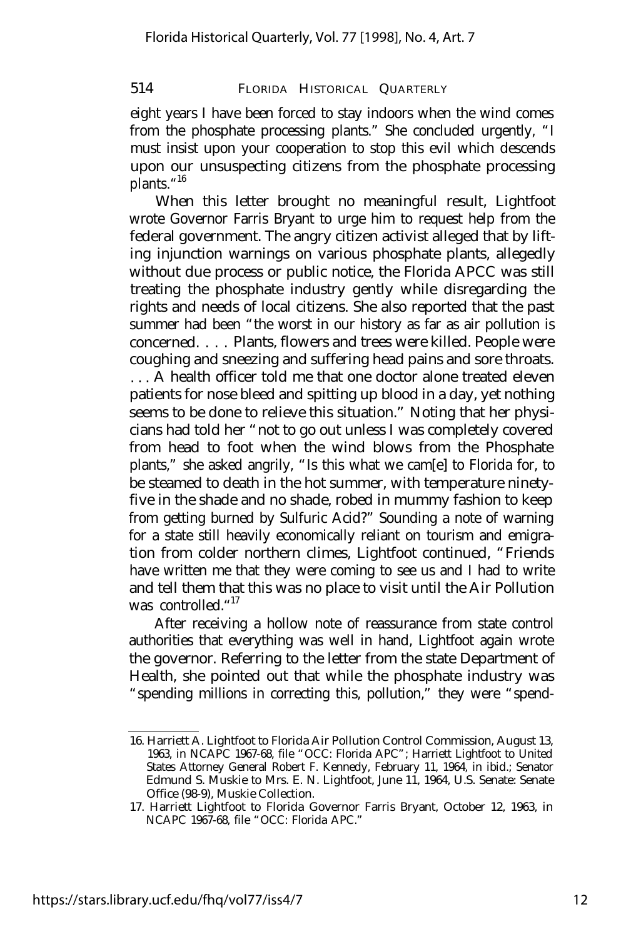eight years I have been forced to stay indoors when the wind comes from the phosphate processing plants." She concluded urgently, "I must insist upon your cooperation to stop this evil which descends upon our unsuspecting citizens from the phosphate processing plants."<sup>16</sup>

When this letter brought no meaningful result, Lightfoot wrote Governor Farris Bryant to urge him to request help from the federal government. The angry citizen activist alleged that by lifting injunction warnings on various phosphate plants, allegedly without due process or public notice, the Florida APCC was still treating the phosphate industry gently while disregarding the rights and needs of local citizens. She also reported that the past summer had been "the worst in our history as far as air pollution is concerned. . . . Plants, flowers and trees were killed. People were coughing and sneezing and suffering head pains and sore throats.

. . . A health officer told me that one doctor alone treated eleven patients for nose bleed and spitting up blood in a day, yet nothing seems to be done to relieve this situation." Noting that her physicians had told her "not to go out unless I was completely covered from head to foot when the wind blows from the Phosphate plants," she asked angrily, "Is this what we cam[e] to Florida for, to be steamed to death in the hot summer, with temperature ninetyfive in the shade and no shade, robed in mummy fashion to keep from getting burned by Sulfuric Acid?" Sounding a note of warning for a state still heavily economically reliant on tourism and emigration from colder northern climes, Lightfoot continued, "Friends have written me that they were coming to see us and I had to write and tell them that this was no place to visit until the Air Pollution was controlled."<sup>17</sup>

After receiving a hollow note of reassurance from state control authorities that everything was well in hand, Lightfoot again wrote the governor. Referring to the letter from the state Department of Health, she pointed out that while the phosphate industry was "spending millions in correcting this, pollution," they were "spend-

<sup>16.</sup> Harriett A. Lightfoot to Florida Air Pollution Control Commission, August 13, 1963, in NCAPC 1967-68, file "OCC: Florida APC"; Harriett Lightfoot to United States Attorney General Robert F. Kennedy, February 11, 1964, in ibid.; Senator Edmund S. Muskie to Mrs. E. N. Lightfoot, June 11, 1964, U.S. Senate: Senate Office (98-9), Muskie Collection.

<sup>17.</sup> Harriett Lightfoot to Florida Governor Farris Bryant, October 12, 1963, in NCAPC 1967-68, file "OCC: Florida APC."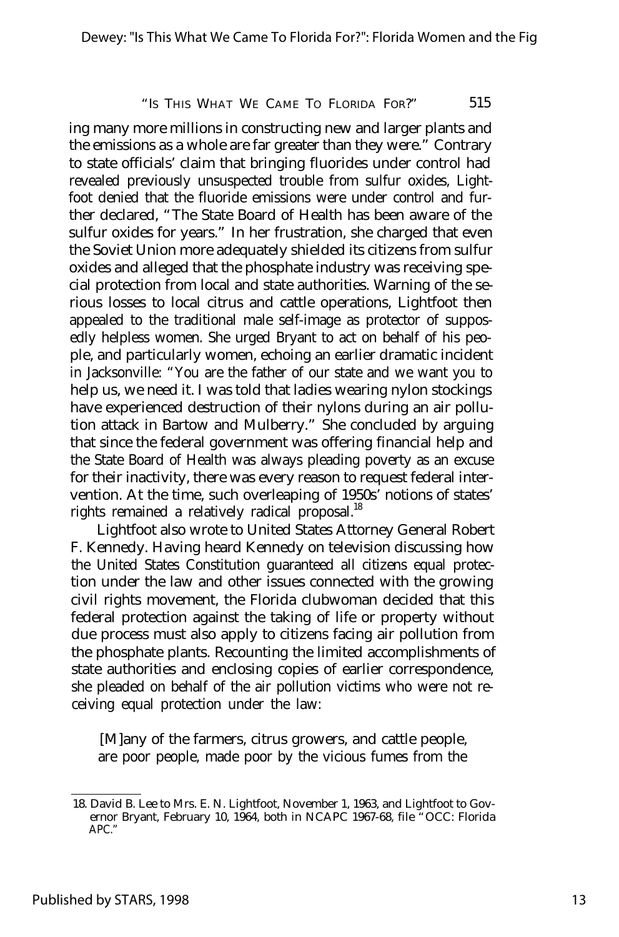ing many more millions in constructing new and larger plants and the emissions as a whole are far greater than they were." Contrary to state officials' claim that bringing fluorides under control had revealed previously unsuspected trouble from sulfur oxides, Lightfoot denied that the fluoride emissions were under control and further declared, "The State Board of Health has been aware of the sulfur oxides for years." In her frustration, she charged that even the Soviet Union more adequately shielded its citizens from sulfur oxides and alleged that the phosphate industry was receiving special protection from local and state authorities. Warning of the serious losses to local citrus and cattle operations, Lightfoot then appealed to the traditional male self-image as protector of supposedly helpless women. She urged Bryant to act on behalf of his people, and particularly women, echoing an earlier dramatic incident in Jacksonville: "You are the father of our state and we want you to help us, we need it. I was told that ladies wearing nylon stockings have experienced destruction of their nylons during an air pollution attack in Bartow and Mulberry." She concluded by arguing that since the federal government was offering financial help and the State Board of Health was always pleading poverty as an excuse for their inactivity, there was every reason to request federal intervention. At the time, such overleaping of 1950s' notions of states' rights remained a relatively radical proposal.<sup>18</sup>

Lightfoot also wrote to United States Attorney General Robert F. Kennedy. Having heard Kennedy on television discussing how the United States Constitution guaranteed all citizens equal protection under the law and other issues connected with the growing civil rights movement, the Florida clubwoman decided that this federal protection against the taking of life or property without due process must also apply to citizens facing air pollution from the phosphate plants. Recounting the limited accomplishments of state authorities and enclosing copies of earlier correspondence, she pleaded on behalf of the air pollution victims who were not receiving equal protection under the law:

[M]any of the farmers, citrus growers, and cattle people, are poor people, made poor by the vicious fumes from the

<sup>18.</sup> David B. Lee to Mrs. E. N. Lightfoot, November 1, 1963, and Lightfoot to Governor Bryant, February 10, 1964, both in NCAPC 1967-68, file "OCC: Florida APC."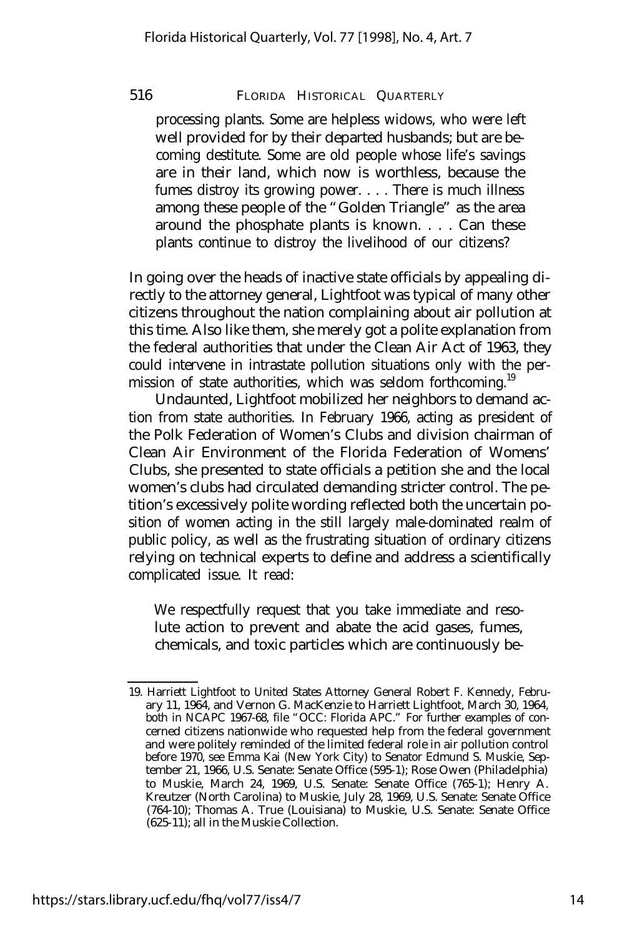processing plants. Some are helpless widows, who were left well provided for by their departed husbands; but are becoming destitute. Some are old people whose life's savings are in their land, which now is worthless, because the fumes distroy its growing power. . . . There is much illness among these people of the "Golden Triangle" as the area around the phosphate plants is known. . . . Can these plants continue to distroy the livelihood of our citizens?

In going over the heads of inactive state officials by appealing directly to the attorney general, Lightfoot was typical of many other citizens throughout the nation complaining about air pollution at this time. Also like them, she merely got a polite explanation from the federal authorities that under the Clean Air Act of 1963, they could intervene in intrastate pollution situations only with the permission of state authorities, which was seldom forthcoming.<sup>19</sup>

Undaunted, Lightfoot mobilized her neighbors to demand action from state authorities. In February 1966, acting as president of the Polk Federation of Women's Clubs and division chairman of Clean Air Environment of the Florida Federation of Womens' Clubs, she presented to state officials a petition she and the local women's clubs had circulated demanding stricter control. The petition's excessively polite wording reflected both the uncertain position of women acting in the still largely male-dominated realm of public policy, as well as the frustrating situation of ordinary citizens relying on technical experts to define and address a scientifically complicated issue. It read:

We respectfully request that you take immediate and resolute action to prevent and abate the acid gases, fumes, chemicals, and toxic particles which are continuously be-

<sup>19.</sup> Harriett Lightfoot to United States Attorney General Robert F. Kennedy, February 11, 1964, and Vernon G. MacKenzie to Harriett Lightfoot, March 30, 1964, both in NCAPC 1967-68, file "OCC: Florida APC." For further examples of concerned citizens nationwide who requested help from the federal government and were politely reminded of the limited federal role in air pollution control before 1970, see Emma Kai (New York City) to Senator Edmund S. Muskie, September 21, 1966, U.S. Senate: Senate Office (595-1); Rose Owen (Philadelphia) to Muskie, March 24, 1969, U.S. Senate: Senate Office (765-1); Henry A. Kreutzer (North Carolina) to Muskie, July 28, 1969, U.S. Senate: Senate Office (764-10); Thomas A. True (Louisiana) to Muskie, U.S. Senate: Senate Office (625-11); all in the Muskie Collection.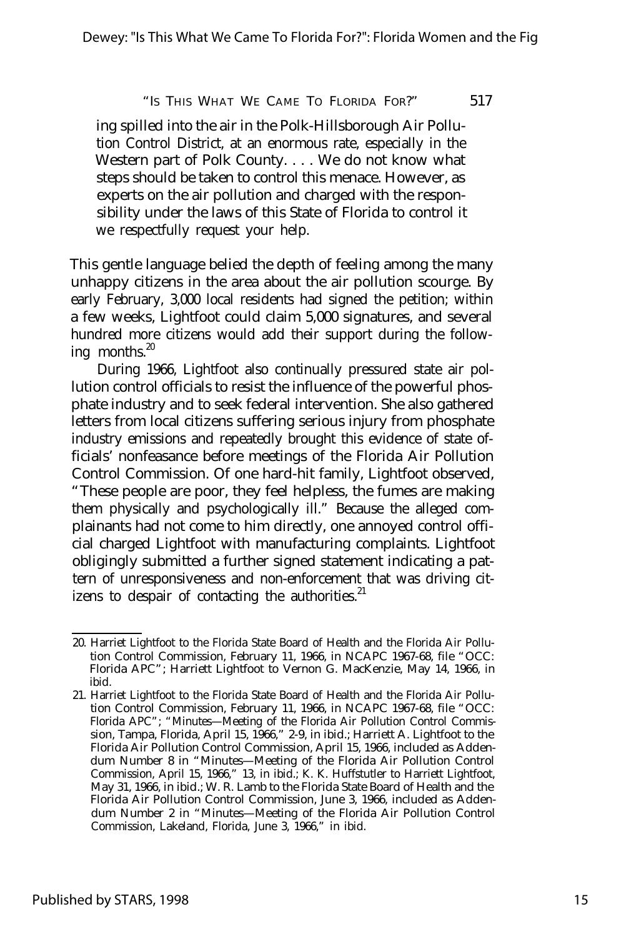ing spilled into the air in the Polk-Hillsborough Air Pollution Control District, at an enormous rate, especially in the Western part of Polk County. . . . We do not know what steps should be taken to control this menace. However, as experts on the air pollution and charged with the responsibility under the laws of this State of Florida to control it we respectfully request your help.

This gentle language belied the depth of feeling among the many unhappy citizens in the area about the air pollution scourge. By early February, 3,000 local residents had signed the petition; within a few weeks, Lightfoot could claim 5,000 signatures, and several hundred more citizens would add their support during the following months. $20$ 

During 1966, Lightfoot also continually pressured state air pollution control officials to resist the influence of the powerful phosphate industry and to seek federal intervention. She also gathered letters from local citizens suffering serious injury from phosphate industry emissions and repeatedly brought this evidence of state officials' nonfeasance before meetings of the Florida Air Pollution Control Commission. Of one hard-hit family, Lightfoot observed, "These people are poor, they feel helpless, the fumes are making them physically and psychologically ill." Because the alleged complainants had not come to him directly, one annoyed control official charged Lightfoot with manufacturing complaints. Lightfoot obligingly submitted a further signed statement indicating a pattern of unresponsiveness and non-enforcement that was driving citizens to despair of contacting the authorities.<sup>21</sup>

<sup>20.</sup> Harriet Lightfoot to the Florida State Board of Health and the Florida Air Pollution Control Commission, February 11, 1966, in NCAPC 1967-68, file "OCC: Florida APC"; Harriett Lightfoot to Vernon G. MacKenzie, May 14, 1966, in ibid.

<sup>21.</sup> Harriet Lightfoot to the Florida State Board of Health and the Florida Air Pollution Control Commission, February 11, 1966, in NCAPC 1967-68, file "OCC: Florida APC"; "Minutes— Meeting of the Florida Air Pollution Control Commission, Tampa, Florida, April 15, 1966," 2-9, in ibid.; Harriett A. Lightfoot to the Florida Air Pollution Control Commission, April 15, 1966, included as Addendum Number 8 in "Minutes— Meeting of the Florida Air Pollution Control Commission, April 15, 1966," 13, in ibid.; K. K. Huffstutler to Harriett Lightfoot, May 31, 1966, in ibid.; W. R. Lamb to the Florida State Board of Health and the Florida Air Pollution Control Commission, June 3, 1966, included as Addendum Number 2 in "Minutes— Meeting of the Florida Air Pollution Control Commission, Lakeland, Florida, June 3, 1966," in ibid.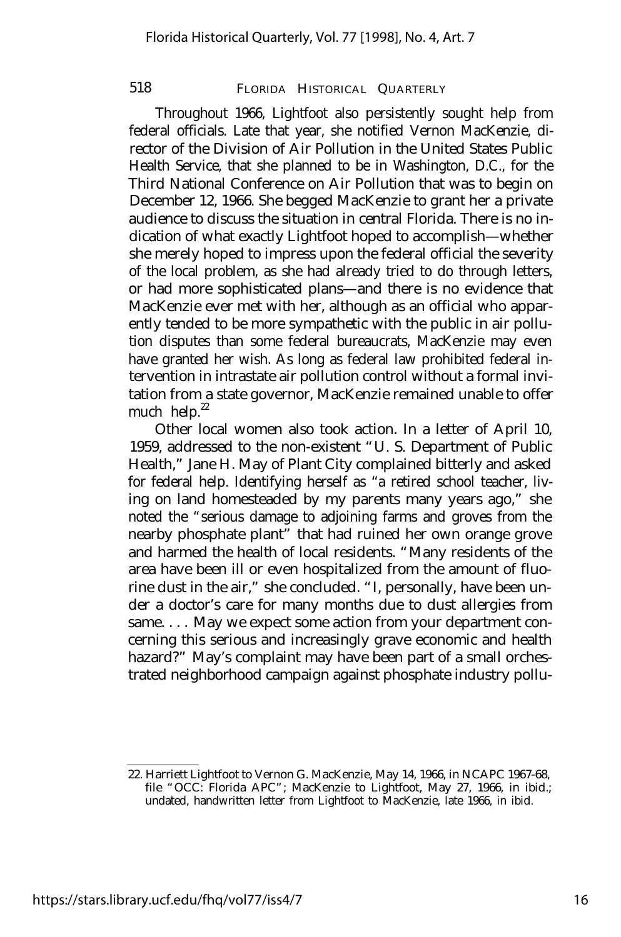Throughout 1966, Lightfoot also persistently sought help from federal officials. Late that year, she notified Vernon MacKenzie, director of the Division of Air Pollution in the United States Public Health Service, that she planned to be in Washington, D.C., for the Third National Conference on Air Pollution that was to begin on December 12, 1966. She begged MacKenzie to grant her a private audience to discuss the situation in central Florida. There is no indication of what exactly Lightfoot hoped to accomplish— whether she merely hoped to impress upon the federal official the severity of the local problem, as she had already tried to do through letters, or had more sophisticated plans— and there is no evidence that MacKenzie ever met with her, although as an official who apparently tended to be more sympathetic with the public in air pollution disputes than some federal bureaucrats, MacKenzie may even have granted her wish. As long as federal law prohibited federal intervention in intrastate air pollution control without a formal invitation from a state governor, MacKenzie remained unable to offer much help. $22$ 

Other local women also took action. In a letter of April 10, 1959, addressed to the non-existent "U. S. Department of Public Health," Jane H. May of Plant City complained bitterly and asked for federal help. Identifying herself as "a retired school teacher, living on land homesteaded by my parents many years ago," she noted the "serious damage to adjoining farms and groves from the nearby phosphate plant" that had ruined her own orange grove and harmed the health of local residents. "Many residents of the area have been ill or even hospitalized from the amount of fluorine dust in the air," she concluded. "I, personally, have been under a doctor's care for many months due to dust allergies from same. . . . May we expect some action from your department concerning this serious and increasingly grave economic and health hazard?" May's complaint may have been part of a small orchestrated neighborhood campaign against phosphate industry pollu-

<sup>22.</sup> Harriett Lightfoot to Vernon G. MacKenzie, May 14, 1966, in NCAPC 1967-68, file "OCC: Florida APC"; MacKenzie to Lightfoot, May 27, 1966, in ibid.; undated, handwritten letter from Lightfoot to MacKenzie, late 1966, in ibid.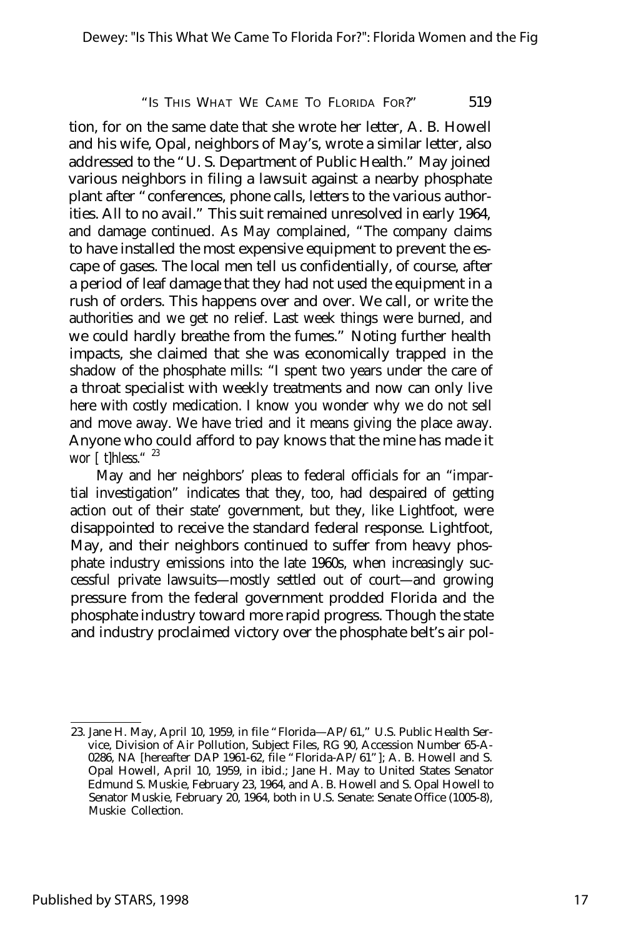tion, for on the same date that she wrote her letter, A. B. Howell and his wife, Opal, neighbors of May's, wrote a similar letter, also addressed to the "U. S. Department of Public Health." May joined various neighbors in filing a lawsuit against a nearby phosphate plant after "conferences, phone calls, letters to the various authorities. All to no avail." This suit remained unresolved in early 1964, and damage continued. As May complained, "The company claims to have installed the most expensive equipment to prevent the escape of gases. The local men tell us confidentially, of course, after a period of leaf damage that they had not used the equipment in a rush of orders. This happens over and over. We call, or write the authorities and we get no relief. Last week things were burned, and we could hardly breathe from the fumes." Noting further health impacts, she claimed that she was economically trapped in the shadow of the phosphate mills: "I spent two years under the care of a throat specialist with weekly treatments and now can only live here with costly medication. I know you wonder why we do not sell and move away. We have tried and it means giving the place away. Anyone who could afford to pay knows that the mine has made it wor  $\int$  tlhless." <sup>23</sup>

May and her neighbors' pleas to federal officials for an "impartial investigation" indicates that they, too, had despaired of getting action out of their state' government, but they, like Lightfoot, were disappointed to receive the standard federal response. Lightfoot, May, and their neighbors continued to suffer from heavy phosphate industry emissions into the late 1960s, when increasingly successful private lawsuits— mostly settled out of court— and growing pressure from the federal government prodded Florida and the phosphate industry toward more rapid progress. Though the state and industry proclaimed victory over the phosphate belt's air pol-

<sup>23.</sup> Jane H. May, April 10, 1959, in file "Florida— AP/61," U.S. Public Health Service, Division of Air Pollution, Subject Files, RG 90, Accession Number 65-A-0286, NA [hereafter DAP 1961-62, file "Florida-AP/61"]; A. B. Howell and S. Opal Howell, April 10, 1959, in ibid.; Jane H. May to United States Senator Edmund S. Muskie, February 23, 1964, and A. B. Howell and S. Opal Howell to Senator Muskie, February 20, 1964, both in U.S. Senate: Senate Office (1005-8), Muskie Collection.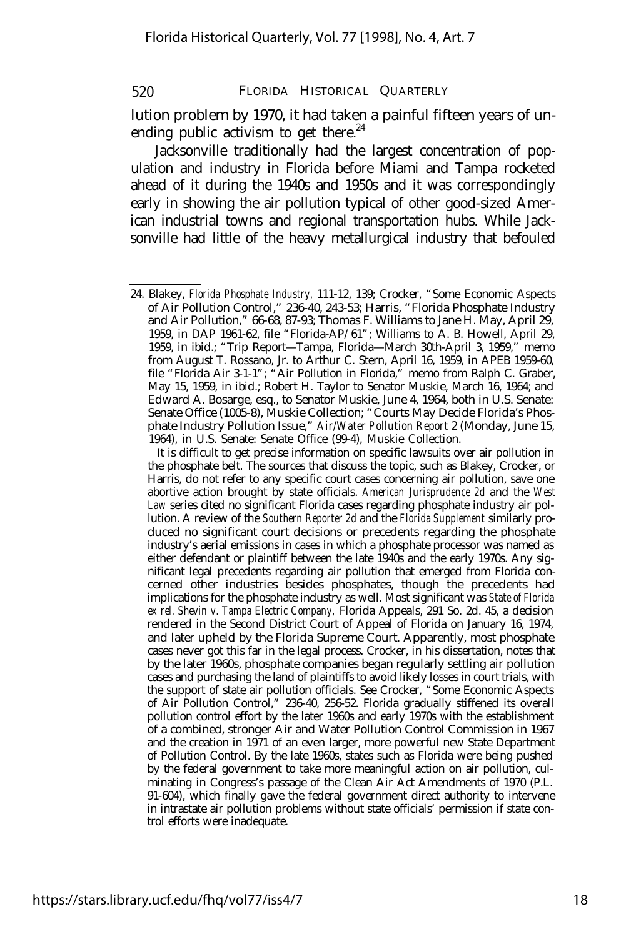lution problem by 1970, it had taken a painful fifteen years of unending public activism to get there.<sup>24</sup>

Jacksonville traditionally had the largest concentration of population and industry in Florida before Miami and Tampa rocketed ahead of it during the 1940s and 1950s and it was correspondingly early in showing the air pollution typical of other good-sized American industrial towns and regional transportation hubs. While Jacksonville had little of the heavy metallurgical industry that befouled

It is difficult to get precise information on specific lawsuits over air pollution in the phosphate belt. The sources that discuss the topic, such as Blakey, Crocker, or Harris, do not refer to any specific court cases concerning air pollution, save one abortive action brought by state officials. *American Jurisprudence 2d* and the *West Law* series cited no significant Florida cases regarding phosphate industry air pollution. A review of the *Southern Reporter 2d* and the *Florida Supplement* similarly produced no significant court decisions or precedents regarding the phosphate industry's aerial emissions in cases in which a phosphate processor was named as either defendant or plaintiff between the late 1940s and the early 1970s. Any significant legal precedents regarding air pollution that emerged from Florida concerned other industries besides phosphates, though the precedents had implications for the phosphate industry as well. Most significant was *State of Florida ex rel. Shevin v. Tampa Electric Company,* Florida Appeals, 291 So. 2d. 45, a decision rendered in the Second District Court of Appeal of Florida on January 16, 1974, and later upheld by the Florida Supreme Court. Apparently, most phosphate cases never got this far in the legal process. Crocker, in his dissertation, notes that by the later 1960s, phosphate companies began regularly settling air pollution cases and purchasing the land of plaintiffs to avoid likely losses in court trials, with the support of state air pollution officials. See Crocker, "Some Economic Aspects of Air Pollution Control," 236-40, 256-52. Florida gradually stiffened its overall pollution control effort by the later 1960s and early 1970s with the establishment of a combined, stronger Air and Water Pollution Control Commission in 1967 and the creation in 1971 of an even larger, more powerful new State Department of Pollution Control. By the late 1960s, states such as Florida were being pushed by the federal government to take more meaningful action on air pollution, culminating in Congress's passage of the Clean Air Act Amendments of 1970 (P.L. 91-604), which finally gave the federal government direct authority to intervene in intrastate air pollution problems without state officials' permission if state control efforts were inadequate.

<sup>24.</sup> Blakey, *Florida Phosphate Industry,* 111-12, 139; Crocker, "Some Economic Aspects of Air Pollution Control," 236-40, 243-53; Harris, "Florida Phosphate Industry and Air Pollution," 66-68, 87-93; Thomas F. Williams to Jane H. May, April 29, 1959, in DAP 1961-62, file "Florida-AP/61"; Williams to A. B. Howell, April 29, 1959, in ibid.; "Trip Report— Tampa, Florida— March 30th-April 3, 1959," memo from August T. Rossano, Jr. to Arthur C. Stern, April 16, 1959, in APEB 1959-60, file "Florida Air 3-1-1"; "Air Pollution in Florida," memo from Ralph C. Graber, May 15, 1959, in ibid.; Robert H. Taylor to Senator Muskie, March 16, 1964; and Edward A. Bosarge, esq., to Senator Muskie, June 4, 1964, both in U.S. Senate: Senate Office (1005-8), Muskie Collection; "Courts May Decide Florida's Phosphate Industry Pollution Issue," *Air/Water Pollution Report* 2 (Monday, June 15, 1964), in U.S. Senate: Senate Office (99-4), Muskie Collection.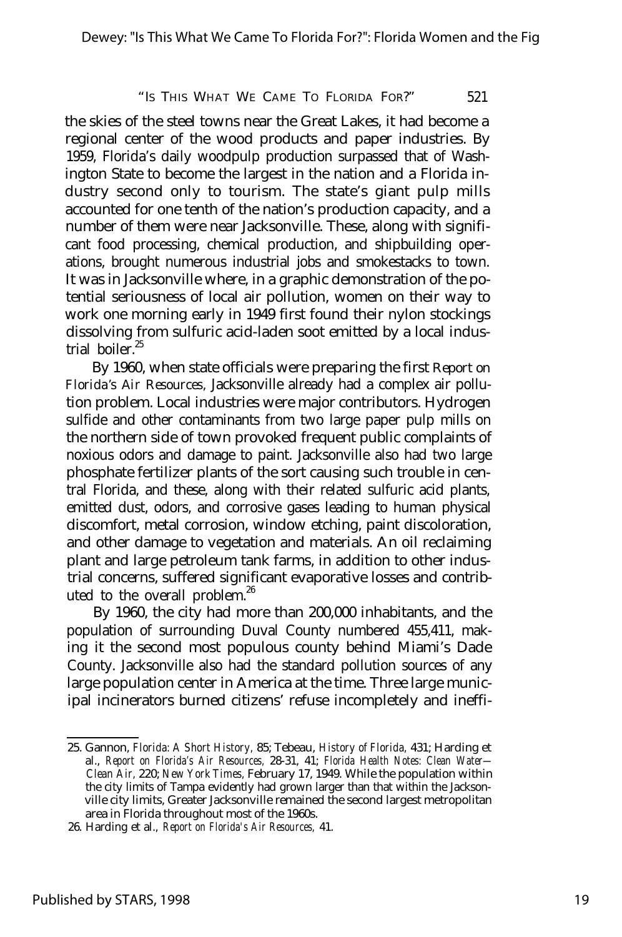the skies of the steel towns near the Great Lakes, it had become a regional center of the wood products and paper industries. By 1959, Florida's daily woodpulp production surpassed that of Washington State to become the largest in the nation and a Florida industry second only to tourism. The state's giant pulp mills accounted for one tenth of the nation's production capacity, and a number of them were near Jacksonville. These, along with significant food processing, chemical production, and shipbuilding operations, brought numerous industrial jobs and smokestacks to town. It was in Jacksonville where, in a graphic demonstration of the potential seriousness of local air pollution, women on their way to work one morning early in 1949 first found their nylon stockings dissolving from sulfuric acid-laden soot emitted by a local industrial boiler.<sup>25</sup>

By 1960, when state officials were preparing the first *Report on Florida's Air Resources,* Jacksonville already had a complex air pollution problem. Local industries were major contributors. Hydrogen sulfide and other contaminants from two large paper pulp mills on the northern side of town provoked frequent public complaints of noxious odors and damage to paint. Jacksonville also had two large phosphate fertilizer plants of the sort causing such trouble in central Florida, and these, along with their related sulfuric acid plants, emitted dust, odors, and corrosive gases leading to human physical discomfort, metal corrosion, window etching, paint discoloration, and other damage to vegetation and materials. An oil reclaiming plant and large petroleum tank farms, in addition to other industrial concerns, suffered significant evaporative losses and contributed to the overall problem.<sup>26</sup>

By 1960, the city had more than 200,000 inhabitants, and the population of surrounding Duval County numbered 455,411, making it the second most populous county behind Miami's Dade County. Jacksonville also had the standard pollution sources of any large population center in America at the time. Three large municipal incinerators burned citizens' refuse incompletely and ineffi-

<sup>25.</sup> Gannon, *Florida: A Short History,* 85; Tebeau, *History of Florida,* 431; Harding et al., *Report on Florida's Air Resources,* 28-31, 41; *Florida Health Notes: Clean Water— Clean Air,* 220; *New York Times,* February 17, 1949. While the population within the city limits of Tampa evidently had grown larger than that within the Jacksonville city limits, Greater Jacksonville remained the second largest metropolitan area in Florida throughout most of the 1960s.

<sup>26.</sup> Harding et al., *Report on Florida's Air Resources,* 41.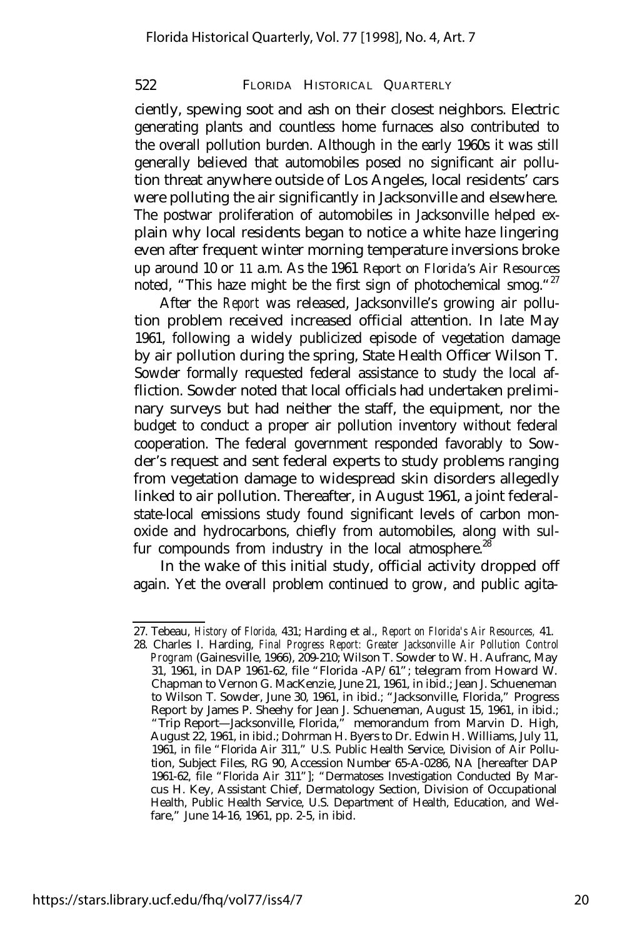ciently, spewing soot and ash on their closest neighbors. Electric generating plants and countless home furnaces also contributed to the overall pollution burden. Although in the early 1960s it was still generally believed that automobiles posed no significant air pollution threat anywhere outside of Los Angeles, local residents' cars were polluting the air significantly in Jacksonville and elsewhere. The postwar proliferation of automobiles in Jacksonville helped explain why local residents began to notice a white haze lingering even after frequent winter morning temperature inversions broke up around 10 or 11 a.m. As the 1961 *Report on Florida's Air Resources* noted, "This haze might be the first sign of photochemical smog."<sup>27</sup>

After the *Report* was released, Jacksonville's growing air pollution problem received increased official attention. In late May 1961, following a widely publicized episode of vegetation damage by air pollution during the spring, State Health Officer Wilson T. Sowder formally requested federal assistance to study the local affliction. Sowder noted that local officials had undertaken preliminary surveys but had neither the staff, the equipment, nor the budget to conduct a proper air pollution inventory without federal cooperation. The federal government responded favorably to Sowder's request and sent federal experts to study problems ranging from vegetation damage to widespread skin disorders allegedly linked to air pollution. Thereafter, in August 1961, a joint federalstate-local emissions study found significant levels of carbon monoxide and hydrocarbons, chiefly from automobiles, along with sulfur compounds from industry in the local atmosphere.<sup>21</sup>

In the wake of this initial study, official activity dropped off again. Yet the overall problem continued to grow, and public agita-

<sup>27.</sup> Tebeau, *History* of *Florida,* 431; Harding et al., *Report on FIorida's Air Resources,* 41.

<sup>28.</sup> Charles I. Harding, *Final Progress Report: Greater Jacksonville Air Pollution Control Program* (Gainesville, 1966), 209-210; Wilson T. Sowder to W. H. Aufranc, May 31, 1961, in DAP 1961-62, file "Florida -AP/61"; telegram from Howard W. Chapman to Vernon G. MacKenzie, June 21, 1961, in ibid.; Jean J. Schueneman to Wilson T. Sowder, June 30, 1961, in ibid.; "Jacksonville, Florida," Progress Report by James P. Sheehy for Jean J. Schueneman, August 15, 1961, in ibid.; "Trip Report— Jacksonville, Florida," memorandum from Marvin D. High, August 22, 1961, in ibid.; Dohrman H. Byers to Dr. Edwin H. Williams, July 11, 1961, in file "Florida Air 311," U.S. Public Health Service, Division of Air Pollution, Subject Files, RG 90, Accession Number 65-A-0286, NA [hereafter DAP 1961-62, file "Florida Air 311"]; "Dermatoses Investigation Conducted By Marcus H. Key, Assistant Chief, Dermatology Section, Division of Occupational Health, Public Health Service, U.S. Department of Health, Education, and Welfare," June 14-16, 1961, pp. 2-5, in ibid.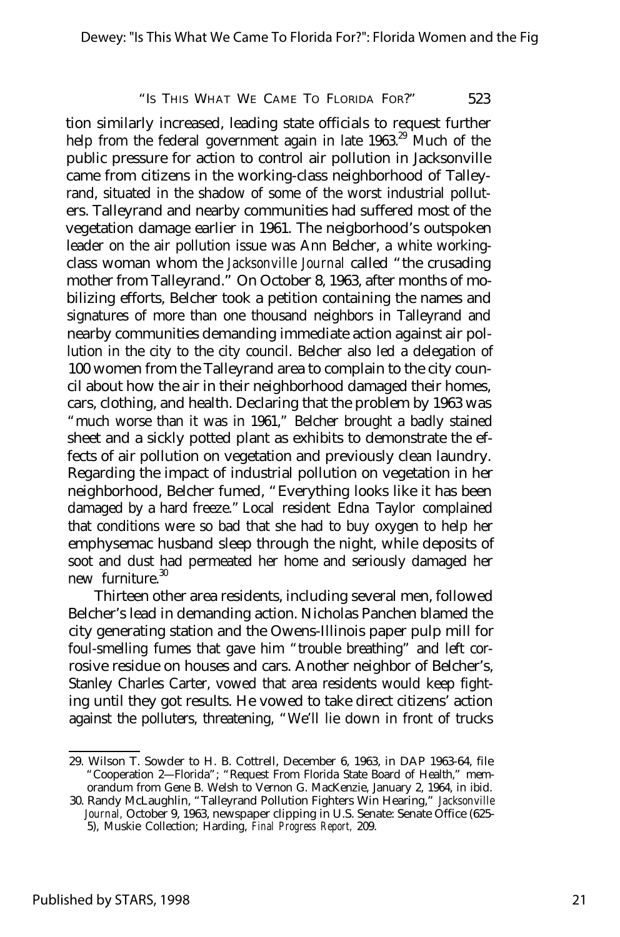tion similarly increased, leading state officials to request further help from the federal government again in late  $1963$ <sup>29</sup> Much of the public pressure for action to control air pollution in Jacksonville came from citizens in the working-class neighborhood of Talleyrand, situated in the shadow of some of the worst industrial polluters. Talleyrand and nearby communities had suffered most of the vegetation damage earlier in 1961. The neigborhood's outspoken leader on the air pollution issue was Ann Belcher, a white workingclass woman whom the *Jacksonville Journal* called "the crusading mother from Talleyrand." On October 8, 1963, after months of mobilizing efforts, Belcher took a petition containing the names and signatures of more than one thousand neighbors in Talleyrand and nearby communities demanding immediate action against air pollution in the city to the city council. Belcher also led a delegation of 100 women from the Talleyrand area to complain to the city council about how the air in their neighborhood damaged their homes, cars, clothing, and health. Declaring that the problem by 1963 was "much worse than it was in 1961," Belcher brought a badly stained sheet and a sickly potted plant as exhibits to demonstrate the effects of air pollution on vegetation and previously clean laundry. Regarding the impact of industrial pollution on vegetation in her neighborhood, Belcher fumed, "Everything looks like it has been damaged by a hard freeze." Local resident Edna Taylor complained that conditions were so bad that she had to buy oxygen to help her emphysemac husband sleep through the night, while deposits of soot and dust had permeated her home and seriously damaged her new furniture  $30$ 

Thirteen other area residents, including several men, followed Belcher's lead in demanding action. Nicholas Panchen blamed the city generating station and the Owens-Illinois paper pulp mill for foul-smelling fumes that gave him "trouble breathing" and left corrosive residue on houses and cars. Another neighbor of Belcher's, Stanley Charles Carter, vowed that area residents would keep fighting until they got results. He vowed to take direct citizens' action against the polluters, threatening, "We'll lie down in front of trucks

<sup>29.</sup> Wilson T. Sowder to H. B. Cottrell, December 6, 1963, in DAP 1963-64, file "Cooperation 2— Florida"; "Request From Florida State Board of Health," memorandum from Gene B. Welsh to Vernon G. MacKenzie, January 2, 1964, in ibid.

<sup>30.</sup> Randy McLaughlin, "Talleyrand Pollution Fighters Win Hearing," *Jacksonville Journal,* October 9, 1963, newspaper clipping in U.S. Senate: Senate Office (625- 5), Muskie Collection; Harding, *Final Progress Report,* 209.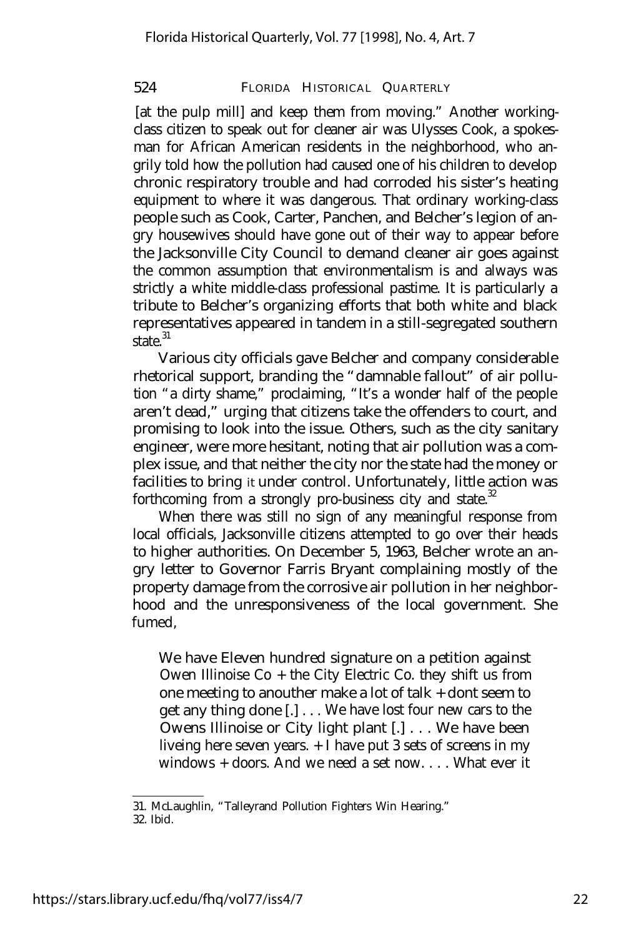[at the pulp mill] and keep them from moving." Another workingclass citizen to speak out for cleaner air was Ulysses Cook, a spokesman for African American residents in the neighborhood, who angrily told how the pollution had caused one of his children to develop chronic respiratory trouble and had corroded his sister's heating equipment to where it was dangerous. That ordinary working-class people such as Cook, Carter, Panchen, and Belcher's legion of angry housewives should have gone out of their way to appear before the Jacksonville City Council to demand cleaner air goes against the common assumption that environmentalism is and always was strictly a white middle-class professional pastime. It is particularly a tribute to Belcher's organizing efforts that both white and black representatives appeared in tandem in a still-segregated southern  $\frac{1}{\sqrt{3}}$ state.<sup>31</sup>

Various city officials gave Belcher and company considerable rhetorical support, branding the "damnable fallout" of air pollution "a dirty shame," proclaiming, "It's a wonder half of the people aren't dead," urging that citizens take the offenders to court, and promising to look into the issue. Others, such as the city sanitary engineer, were more hesitant, noting that air pollution was a complex issue, and that neither the city nor the state had the money or facilities to bring it under control. Unfortunately, little action was forthcoming from a strongly pro-business city and state. $32$ 

When there was still no sign of any meaningful response from local officials, Jacksonville citizens attempted to go over their heads to higher authorities. On December 5, 1963, Belcher wrote an angry letter to Governor Farris Bryant complaining mostly of the property damage from the corrosive air pollution in her neighborhood and the unresponsiveness of the local government. She fumed,

We have Eleven hundred signature on a petition against Owen Illinoise Co + the City Electric Co. they shift us from one meeting to anouther make a lot of talk + dont seem to get any thing done [.] . . . We have lost four new cars to the Owens Illinoise or City light plant [.] . . . We have been liveing here seven years.  $+$  I have put 3 sets of screens in my windows + doors. And we need a set now. . . . What ever it

<sup>31.</sup> McLaughlin, "Talleyrand Pollution Fighters Win Hearing." 32. Ibid.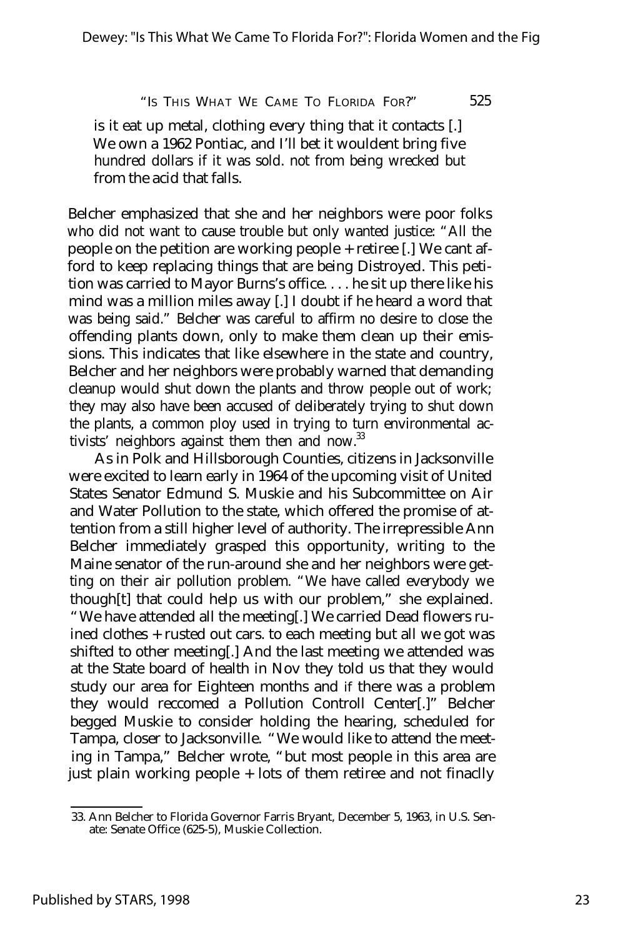is it eat up metal, clothing every thing that it contacts [.] We own a 1962 Pontiac, and I'll bet it wouldent bring five hundred dollars if it was sold. not from being wrecked but from the acid that falls.

Belcher emphasized that she and her neighbors were poor folks who did not want to cause trouble but only wanted justice: "All the people on the petition are working people + retiree [.] We cant afford to keep replacing things that are being Distroyed. This petition was carried to Mayor Burns's office. . . . he sit up there like his mind was a million miles away [.] I doubt if he heard a word that was being said." Belcher was careful to affirm no desire to close the offending plants down, only to make them clean up their emissions. This indicates that like elsewhere in the state and country, Belcher and her neighbors were probably warned that demanding cleanup would shut down the plants and throw people out of work; they may also have been accused of deliberately trying to shut down the plants, a common ploy used in trying to turn environmental activists' neighbors against them then and now.<sup>33</sup>

As in Polk and Hillsborough Counties, citizens in Jacksonville were excited to learn early in 1964 of the upcoming visit of United States Senator Edmund S. Muskie and his Subcommittee on Air and Water Pollution to the state, which offered the promise of attention from a still higher level of authority. The irrepressible Ann Belcher immediately grasped this opportunity, writing to the Maine senator of the run-around she and her neighbors were getting on their air pollution problem. "We have called everybody we though[t] that could help us with our problem," she explained. "We have attended all the meeting[.] We carried Dead flowers ruined clothes + rusted out cars. to each meeting but all we got was shifted to other meeting[.] And the last meeting we attended was at the State board of health in Nov they told us that they would study our area for Eighteen months and *if* there was a problem they would reccomed a Pollution Controll Center[.]" Belcher begged Muskie to consider holding the hearing, scheduled for Tampa, closer to Jacksonville. "We would like to attend the meeting in Tampa," Belcher wrote, "but most people in this area are just plain working people + lots of them retiree and not finaclly

<sup>33.</sup> Ann Belcher to Florida Governor Farris Bryant, December 5, 1963, in U.S. Senate: Senate Office (625-5), Muskie Collection.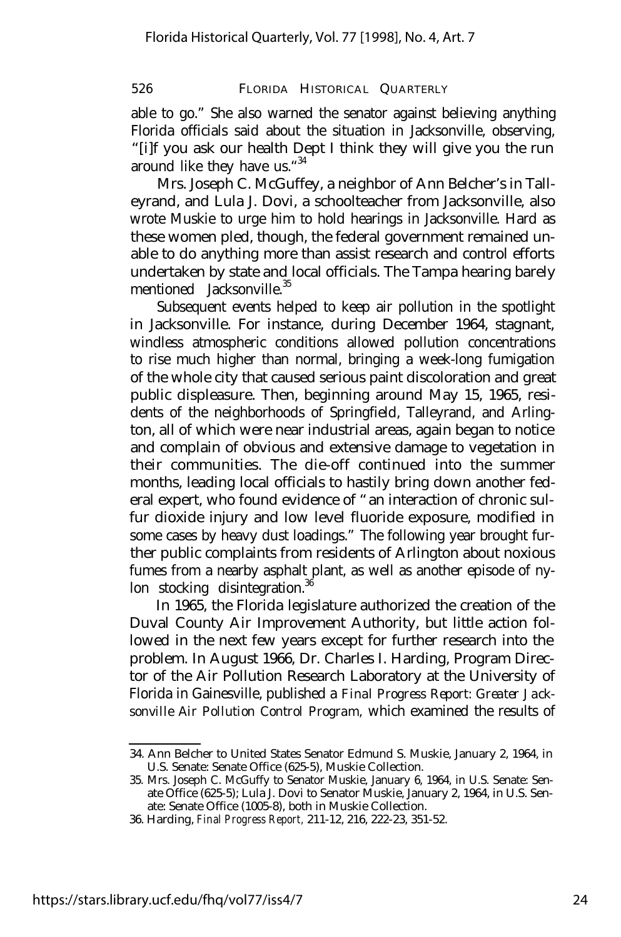able to go." She also warned the senator against believing anything Florida officials said about the situation in Jacksonville, observing, "[i]f you ask our health Dept I think they will give you the run around like they have us."<sup>34</sup>

Mrs. Joseph C. McGuffey, a neighbor of Ann Belcher's in Talleyrand, and Lula J. Dovi, a schoolteacher from Jacksonville, also wrote Muskie to urge him to hold hearings in Jacksonville. Hard as these women pled, though, the federal government remained unable to do anything more than assist research and control efforts undertaken by state and local officials. The Tampa hearing barely mentioned Jacksonville.<sup>35</sup>

Subsequent events helped to keep air pollution in the spotlight in Jacksonville. For instance, during December 1964, stagnant, windless atmospheric conditions allowed pollution concentrations to rise much higher than normal, bringing a week-long fumigation of the whole city that caused serious paint discoloration and great public displeasure. Then, beginning around May 15, 1965, residents of the neighborhoods of Springfield, Talleyrand, and Arlington, all of which were near industrial areas, again began to notice and complain of obvious and extensive damage to vegetation in their communities. The die-off continued into the summer months, leading local officials to hastily bring down another federal expert, who found evidence of "an interaction of chronic sulfur dioxide injury and low level fluoride exposure, modified in some cases by heavy dust loadings." The following year brought further public complaints from residents of Arlington about noxious fumes from a nearby asphalt plant, as well as another episode of nylon stocking disintegration. $36$ 

In 1965, the Florida legislature authorized the creation of the Duval County Air Improvement Authority, but little action followed in the next few years except for further research into the problem. In August 1966, Dr. Charles I. Harding, Program Director of the Air Pollution Research Laboratory at the University of Florida in Gainesville, published a *Final Progress Report: Greater Jacksonville Air Pollution Control Program,* which examined the results of

<sup>34.</sup> Ann Belcher to United States Senator Edmund S. Muskie, January 2, 1964, in U.S. Senate: Senate Office (625-5), Muskie Collection.

<sup>35.</sup> Mrs. Joseph C. McGuffy to Senator Muskie, January 6, 1964, in U.S. Senate: Senate Office (625-5); Lula J. Dovi to Senator Muskie, January 2, 1964, in U.S. Senate: Senate Office (1005-8), both in Muskie Collection.

<sup>36.</sup> Harding, *Final Progress Report,* 211-12, 216, 222-23, 351-52.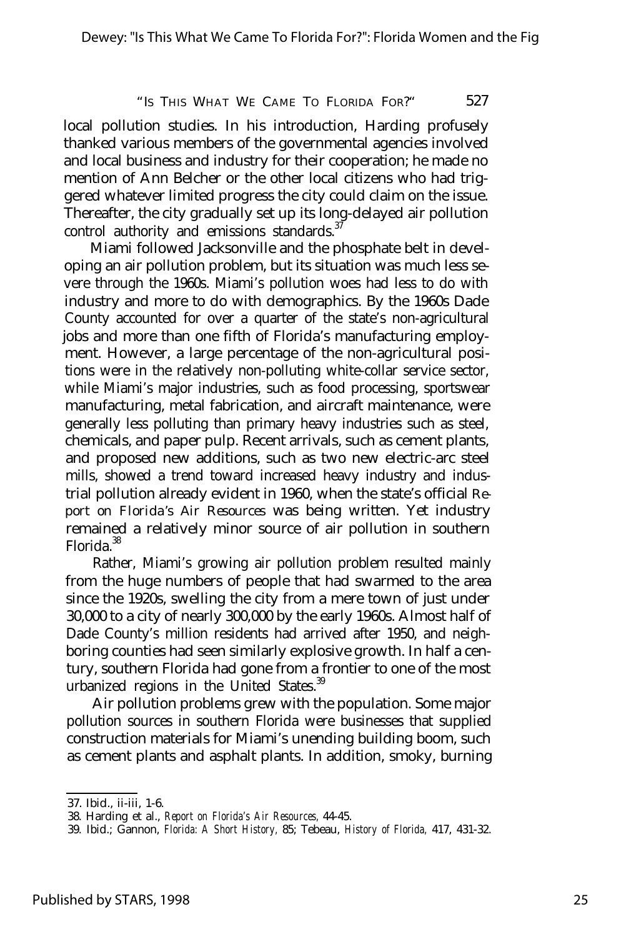local pollution studies. In his introduction, Harding profusely thanked various members of the governmental agencies involved and local business and industry for their cooperation; he made no mention of Ann Belcher or the other local citizens who had triggered whatever limited progress the city could claim on the issue. Thereafter, the city gradually set up its long-delayed air pollution control authority and emissions standards. $3^7$ 

Miami followed Jacksonville and the phosphate belt in developing an air pollution problem, but its situation was much less severe through the 1960s. Miami's pollution woes had less to do with industry and more to do with demographics. By the 1960s Dade County accounted for over a quarter of the state's non-agricultural jobs and more than one fifth of Florida's manufacturing employment. However, a large percentage of the non-agricultural positions were in the relatively non-polluting white-collar service sector, while Miami's major industries, such as food processing, sportswear manufacturing, metal fabrication, and aircraft maintenance, were generally less polluting than primary heavy industries such as steel, chemicals, and paper pulp. Recent arrivals, such as cement plants, and proposed new additions, such as two new electric-arc steel mills, showed a trend toward increased heavy industry and industrial pollution already evident in 1960, when the state's official *Report on Florida's Air Resources* was being written. Yet industry remained a relatively minor source of air pollution in southern Florida.<sup>38</sup>

Rather, Miami's growing air pollution problem resulted mainly from the huge numbers of people that had swarmed to the area since the 1920s, swelling the city from a mere town of just under 30,000 to a city of nearly 300,000 by the early 1960s. Almost half of Dade County's million residents had arrived after 1950, and neighboring counties had seen similarly explosive growth. In half a century, southern Florida had gone from a frontier to one of the most urbanized regions in the United States.<sup>39</sup>

Air pollution problems grew with the population. Some major pollution sources in southern Florida were businesses that supplied construction materials for Miami's unending building boom, such as cement plants and asphalt plants. In addition, smoky, burning

<sup>37.</sup> Ibid., ii-iii, 1-6.

<sup>38.</sup> Harding et al., *Report on Florida's Air Resources,* 44-45.

<sup>39.</sup> Ibid.; Gannon, *Florida: A Short History,* 85; Tebeau, *History of Florida,* 417, 431-32.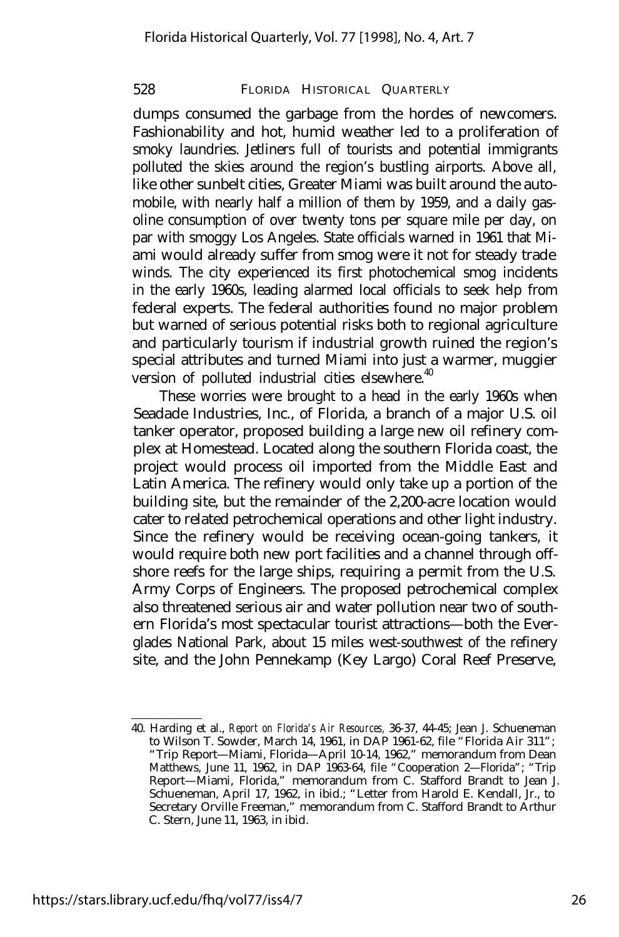dumps consumed the garbage from the hordes of newcomers. Fashionability and hot, humid weather led to a proliferation of smoky laundries. Jetliners full of tourists and potential immigrants polluted the skies around the region's bustling airports. Above all, like other sunbelt cities, Greater Miami was built around the automobile, with nearly half a million of them by 1959, and a daily gasoline consumption of over twenty tons per square mile per day, on par with smoggy Los Angeles. State officials warned in 1961 that Miami would already suffer from smog were it not for steady trade winds. The city experienced its first photochemical smog incidents in the early 1960s, leading alarmed local officials to seek help from federal experts. The federal authorities found no major problem but warned of serious potential risks both to regional agriculture and particularly tourism if industrial growth ruined the region's special attributes and turned Miami into just a warmer, muggier version of polluted industrial cities elsewhere.<sup>40</sup>

These worries were brought to a head in the early 1960s when Seadade Industries, Inc., of Florida, a branch of a major U.S. oil tanker operator, proposed building a large new oil refinery complex at Homestead. Located along the southern Florida coast, the project would process oil imported from the Middle East and Latin America. The refinery would only take up a portion of the building site, but the remainder of the 2,200-acre location would cater to related petrochemical operations and other light industry. Since the refinery would be receiving ocean-going tankers, it would require both new port facilities and a channel through offshore reefs for the large ships, requiring a permit from the U.S. Army Corps of Engineers. The proposed petrochemical complex also threatened serious air and water pollution near two of southern Florida's most spectacular tourist attractions— both the Everglades National Park, about 15 miles west-southwest of the refinery site, and the John Pennekamp (Key Largo) Coral Reef Preserve,

<sup>40.</sup> Harding et al., *Report on Florida's Air Resources,* 36-37, 44-45; Jean J. Schueneman to Wilson T. Sowder, March 14, 1961, in DAP 1961-62, file "Florida Air 311"; "Trip Report— Miami, Florida— April 10-14, 1962," memorandum from Dean Matthews, June 11, 1962, in DAP 1963-64, file "Cooperation 2— Florida"; "Trip Report— Miami, Florida," memorandum from C. Stafford Brandt to Jean J. Schueneman, April 17, 1962, in ibid.; "Letter from Harold E. Kendall, Jr., to Secretary Orville Freeman," memorandum from C. Stafford Brandt to Arthur C. Stern, June 11, 1963, in ibid.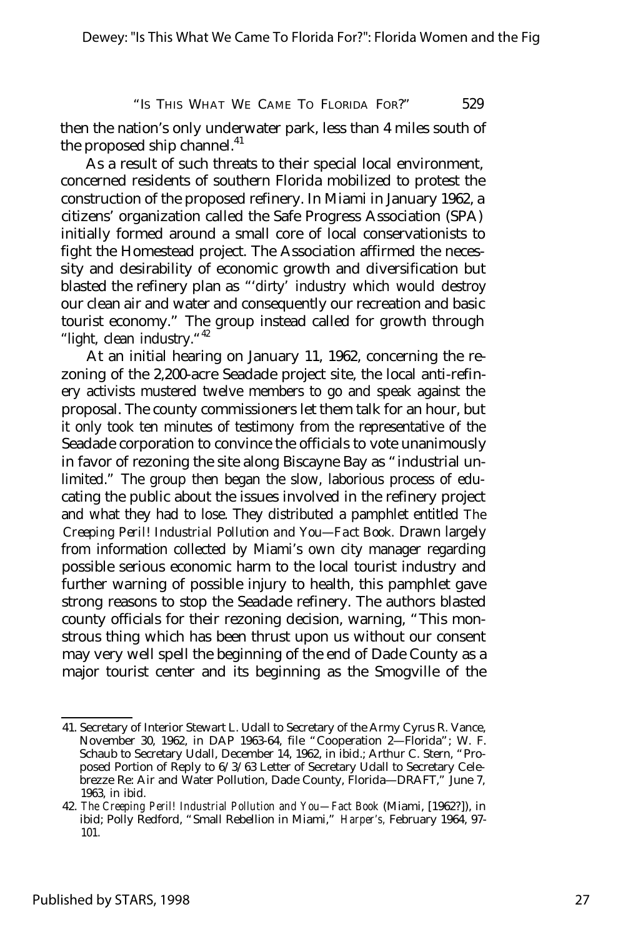then the nation's only underwater park, less than 4 miles south of the proposed ship channel. $^{41}$ 

As a result of such threats to their special local environment, concerned residents of southern Florida mobilized to protest the construction of the proposed refinery. In Miami in January 1962, a citizens' organization called the Safe Progress Association (SPA) initially formed around a small core of local conservationists to fight the Homestead project. The Association affirmed the necessity and desirability of economic growth and diversification but blasted the refinery plan as "'dirty' industry which would destroy our clean air and water and consequently our recreation and basic tourist economy." The group instead called for growth through "light, clean industry."<sup>42</sup>

At an initial hearing on January 11, 1962, concerning the rezoning of the 2,200-acre Seadade project site, the local anti-refinery activists mustered twelve members to go and speak against the proposal. The county commissioners let them talk for an hour, but it only took ten minutes of testimony from the representative of the Seadade corporation to convince the officials to vote unanimously in favor of rezoning the site along Biscayne Bay as "industrial unlimited." The group then began the slow, laborious process of educating the public about the issues involved in the refinery project and what they had to lose. They distributed a pamphlet entitled *The Creeping Peril! Industrial Pollution and You— Fact Book.* Drawn largely from information collected by Miami's own city manager regarding possible serious economic harm to the local tourist industry and further warning of possible injury to health, this pamphlet gave strong reasons to stop the Seadade refinery. The authors blasted county officials for their rezoning decision, warning, "This monstrous thing which has been thrust upon us without our consent may very well spell the beginning of the end of Dade County as a major tourist center and its beginning as the Smogville of the

<sup>41.</sup> Secretary of Interior Stewart L. Udall to Secretary of the Army Cyrus R. Vance, November 30, 1962, in DAP 1963-64, file "Cooperation 2— Florida"; W. F. Schaub to Secretary Udall, December 14, 1962, in ibid.; Arthur C. Stern, "Proposed Portion of Reply to 6/3/63 Letter of Secretary Udall to Secretary Celebrezze Re: Air and Water Pollution, Dade County, Florida— DRAFT," June 7, 1963, in ibid.

<sup>42.</sup> *The Creeping Peril! Industrial Pollution and You— Fact Book* (Miami, [1962?]), in ibid; Polly Redford, "Small Rebellion in Miami," *Harper's,* February 1964, 97- 101.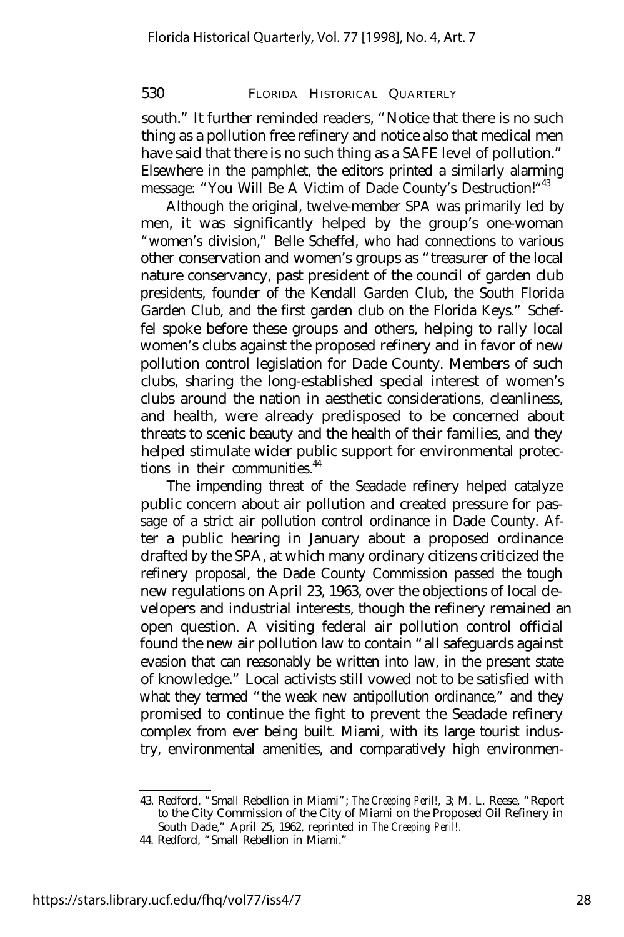south." It further reminded readers, "Notice that there is no such thing as a pollution free refinery and notice also that medical men have said that there is no such thing as a SAFE level of pollution." Elsewhere in the pamphlet, the editors printed a similarly alarming message: "You Will Be A Victim of Dade County's Destruction!"43

Although the original, twelve-member SPA was primarily led by men, it was significantly helped by the group's one-woman "women's division," Belle Scheffel, who had connections to various other conservation and women's groups as "treasurer of the local nature conservancy, past president of the council of garden club presidents, founder of the Kendall Garden Club, the South Florida Garden Club, and the first garden club on the Florida Keys." Scheffel spoke before these groups and others, helping to rally local women's clubs against the proposed refinery and in favor of new pollution control legislation for Dade County. Members of such clubs, sharing the long-established special interest of women's clubs around the nation in aesthetic considerations, cleanliness, and health, were already predisposed to be concerned about threats to scenic beauty and the health of their families, and they helped stimulate wider public support for environmental protections in their communities.<sup>44</sup>

The impending threat of the Seadade refinery helped catalyze public concern about air pollution and created pressure for passage of a strict air pollution control ordinance in Dade County. After a public hearing in January about a proposed ordinance drafted by the SPA, at which many ordinary citizens criticized the refinery proposal, the Dade County Commission passed the tough new regulations on April 23, 1963, over the objections of local developers and industrial interests, though the refinery remained an open question. A visiting federal air pollution control official found the new air pollution law to contain "all safeguards against evasion that can reasonably be written into law, in the present state of knowledge." Local activists still vowed not to be satisfied with what they termed "the weak new antipollution ordinance," and they promised to continue the fight to prevent the Seadade refinery complex from ever being built. Miami, with its large tourist industry, environmental amenities, and comparatively high environmen-

<sup>43.</sup> Redford, "Small Rebellion in Miami"; *The Creeping Peril!,* 3; M. L. Reese, "Report to the City Commission of the City of Miami on the Proposed Oil Refinery in South Dade," April 25, 1962, reprinted in *The Creeping Peril!.*

<sup>44.</sup> Redford, "Small Rebellion in Miami."